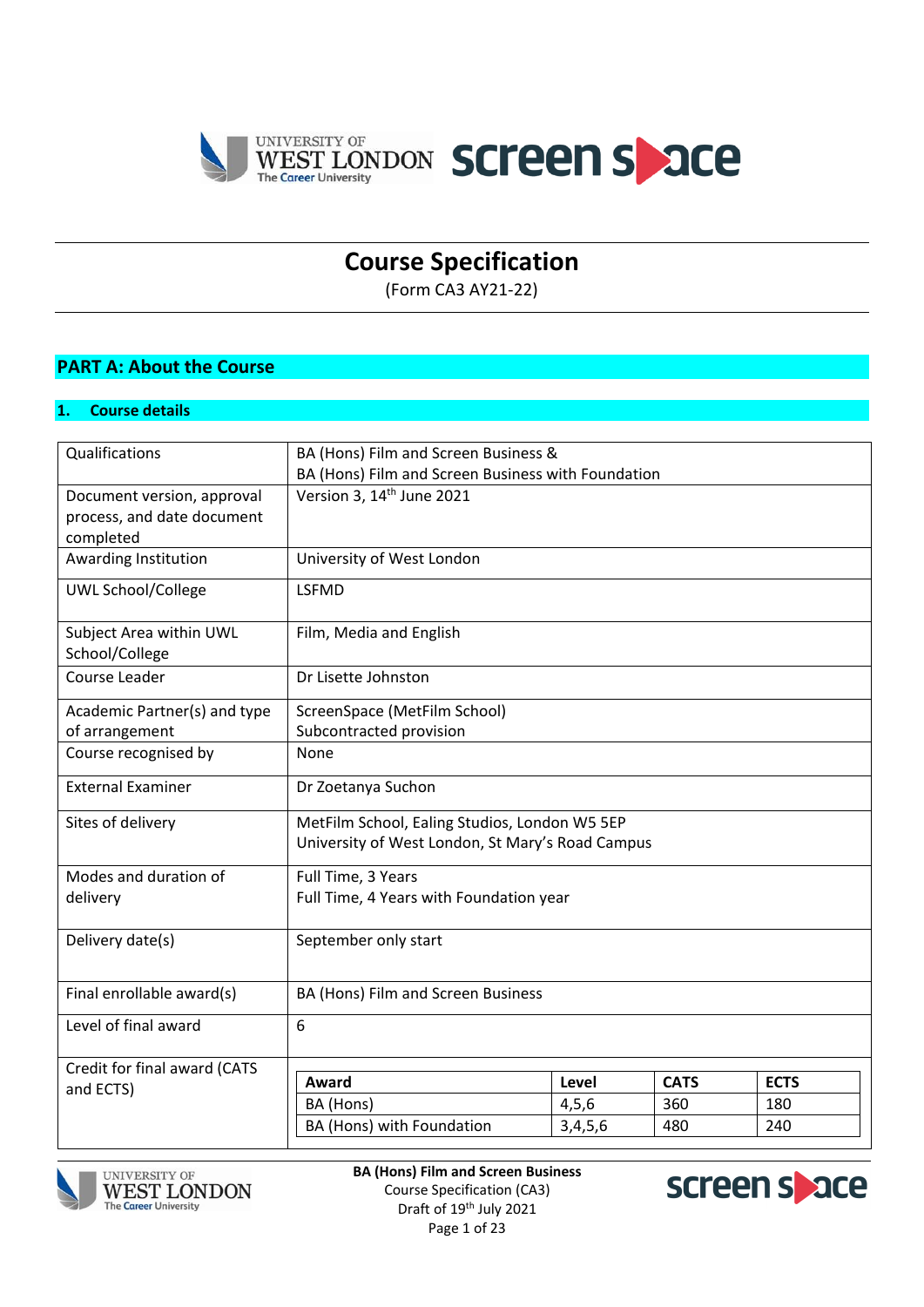

# **Course Specification**

(Form CA3 AY21-22)

## **PART A: About the Course**

### **1. Course details**

| Qualifications               | BA (Hons) Film and Screen Business &               |         |             |             |  |
|------------------------------|----------------------------------------------------|---------|-------------|-------------|--|
|                              | BA (Hons) Film and Screen Business with Foundation |         |             |             |  |
| Document version, approval   | Version 3, 14 <sup>th</sup> June 2021              |         |             |             |  |
| process, and date document   |                                                    |         |             |             |  |
| completed                    |                                                    |         |             |             |  |
| Awarding Institution         | University of West London                          |         |             |             |  |
| <b>UWL School/College</b>    | <b>LSFMD</b>                                       |         |             |             |  |
| Subject Area within UWL      | Film, Media and English                            |         |             |             |  |
| School/College               |                                                    |         |             |             |  |
| Course Leader                | Dr Lisette Johnston                                |         |             |             |  |
| Academic Partner(s) and type | ScreenSpace (MetFilm School)                       |         |             |             |  |
| of arrangement               | Subcontracted provision                            |         |             |             |  |
| Course recognised by         | None                                               |         |             |             |  |
| <b>External Examiner</b>     | Dr Zoetanya Suchon                                 |         |             |             |  |
| Sites of delivery            | MetFilm School, Ealing Studios, London W5 5EP      |         |             |             |  |
|                              | University of West London, St Mary's Road Campus   |         |             |             |  |
| Modes and duration of        | Full Time, 3 Years                                 |         |             |             |  |
| delivery                     | Full Time, 4 Years with Foundation year            |         |             |             |  |
| Delivery date(s)             | September only start                               |         |             |             |  |
|                              |                                                    |         |             |             |  |
| Final enrollable award(s)    | BA (Hons) Film and Screen Business                 |         |             |             |  |
| Level of final award         | 6                                                  |         |             |             |  |
|                              |                                                    |         |             |             |  |
| Credit for final award (CATS | Award                                              | Level   | <b>CATS</b> | <b>ECTS</b> |  |
| and ECTS)                    | BA (Hons)                                          | 4, 5, 6 | 360         | 180         |  |
|                              | BA (Hons) with Foundation                          |         | 480         | 240         |  |
|                              |                                                    | 3,4,5,6 |             |             |  |





**BA (Hons) Film and Screen Business** Course Specification (CA3) Draft of 19<sup>th</sup> July 2021 Page 1 of 23

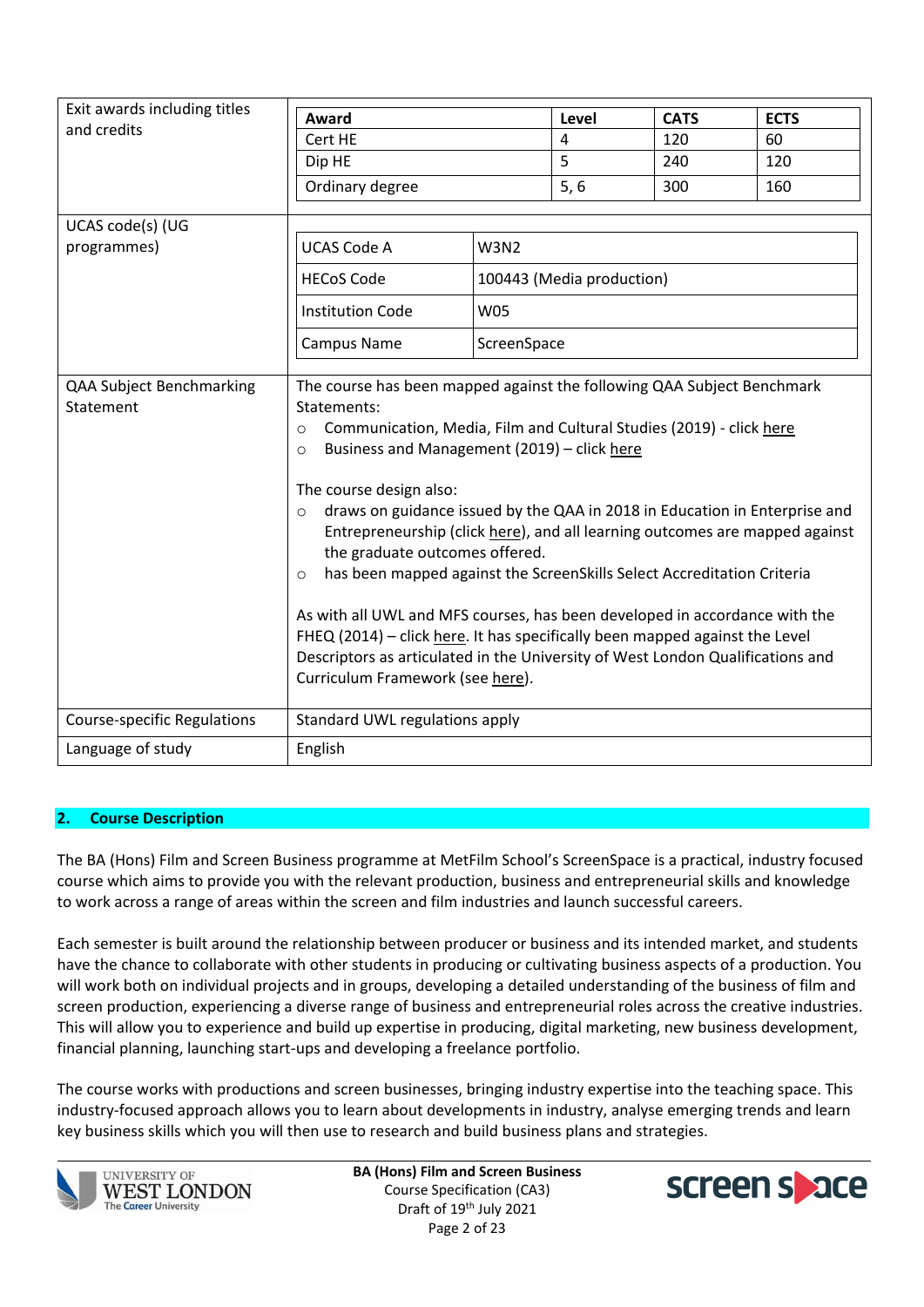| Exit awards including titles          |                                                                                                                                                                                                                                                                                                                                                                                                                                                                                                                                                                                                                                                                                                                                                                                                                                                 |             |                           |             |             |
|---------------------------------------|-------------------------------------------------------------------------------------------------------------------------------------------------------------------------------------------------------------------------------------------------------------------------------------------------------------------------------------------------------------------------------------------------------------------------------------------------------------------------------------------------------------------------------------------------------------------------------------------------------------------------------------------------------------------------------------------------------------------------------------------------------------------------------------------------------------------------------------------------|-------------|---------------------------|-------------|-------------|
| and credits                           | <b>Award</b>                                                                                                                                                                                                                                                                                                                                                                                                                                                                                                                                                                                                                                                                                                                                                                                                                                    |             | Level                     | <b>CATS</b> | <b>ECTS</b> |
|                                       | Cert HE                                                                                                                                                                                                                                                                                                                                                                                                                                                                                                                                                                                                                                                                                                                                                                                                                                         |             | $\overline{4}$            | 120         | 60          |
|                                       | Dip HE                                                                                                                                                                                                                                                                                                                                                                                                                                                                                                                                                                                                                                                                                                                                                                                                                                          |             | 5                         | 240         | 120         |
|                                       | Ordinary degree                                                                                                                                                                                                                                                                                                                                                                                                                                                                                                                                                                                                                                                                                                                                                                                                                                 |             | 5, 6                      | 300         | 160         |
| UCAS code(s) (UG                      |                                                                                                                                                                                                                                                                                                                                                                                                                                                                                                                                                                                                                                                                                                                                                                                                                                                 |             |                           |             |             |
| programmes)                           | <b>UCAS Code A</b>                                                                                                                                                                                                                                                                                                                                                                                                                                                                                                                                                                                                                                                                                                                                                                                                                              | <b>W3N2</b> |                           |             |             |
|                                       | <b>HECoS Code</b>                                                                                                                                                                                                                                                                                                                                                                                                                                                                                                                                                                                                                                                                                                                                                                                                                               |             | 100443 (Media production) |             |             |
|                                       | <b>Institution Code</b>                                                                                                                                                                                                                                                                                                                                                                                                                                                                                                                                                                                                                                                                                                                                                                                                                         | <b>W05</b>  |                           |             |             |
|                                       | <b>Campus Name</b>                                                                                                                                                                                                                                                                                                                                                                                                                                                                                                                                                                                                                                                                                                                                                                                                                              | ScreenSpace |                           |             |             |
| QAA Subject Benchmarking<br>Statement | The course has been mapped against the following QAA Subject Benchmark<br>Statements:<br>Communication, Media, Film and Cultural Studies (2019) - click here<br>$\circ$<br>Business and Management (2019) - click here<br>$\Omega$<br>The course design also:<br>draws on guidance issued by the QAA in 2018 in Education in Enterprise and<br>$\circ$<br>Entrepreneurship (click here), and all learning outcomes are mapped against<br>the graduate outcomes offered.<br>has been mapped against the ScreenSkills Select Accreditation Criteria<br>$\circ$<br>As with all UWL and MFS courses, has been developed in accordance with the<br>FHEQ (2014) - click here. It has specifically been mapped against the Level<br>Descriptors as articulated in the University of West London Qualifications and<br>Curriculum Framework (see here). |             |                           |             |             |
| <b>Course-specific Regulations</b>    | Standard UWL regulations apply                                                                                                                                                                                                                                                                                                                                                                                                                                                                                                                                                                                                                                                                                                                                                                                                                  |             |                           |             |             |
| Language of study                     | English                                                                                                                                                                                                                                                                                                                                                                                                                                                                                                                                                                                                                                                                                                                                                                                                                                         |             |                           |             |             |

### **2. Course Description**

The BA (Hons) Film and Screen Business programme at MetFilm School's ScreenSpace is a practical, industry focused course which aims to provide you with the relevant production, business and entrepreneurial skills and knowledge to work across a range of areas within the screen and film industries and launch successful careers.

Each semester is built around the relationship between producer or business and its intended market, and students have the chance to collaborate with other students in producing or cultivating business aspects of a production. You will work both on individual projects and in groups, developing a detailed understanding of the business of film and screen production, experiencing a diverse range of business and entrepreneurial roles across the creative industries. This will allow you to experience and build up expertise in producing, digital marketing, new business development, financial planning, launching start-ups and developing a freelance portfolio.

The course works with productions and screen businesses, bringing industry expertise into the teaching space. This industry-focused approach allows you to learn about developments in industry, analyse emerging trends and learn key business skills which you will then use to research and build business plans and strategies.



**UNIVERSITY OF WEST LONDON The Career University** 

**BA (Hons) Film and Screen Business** Course Specification (CA3) Draft of 19<sup>th</sup> July 2021 Page 2 of 23

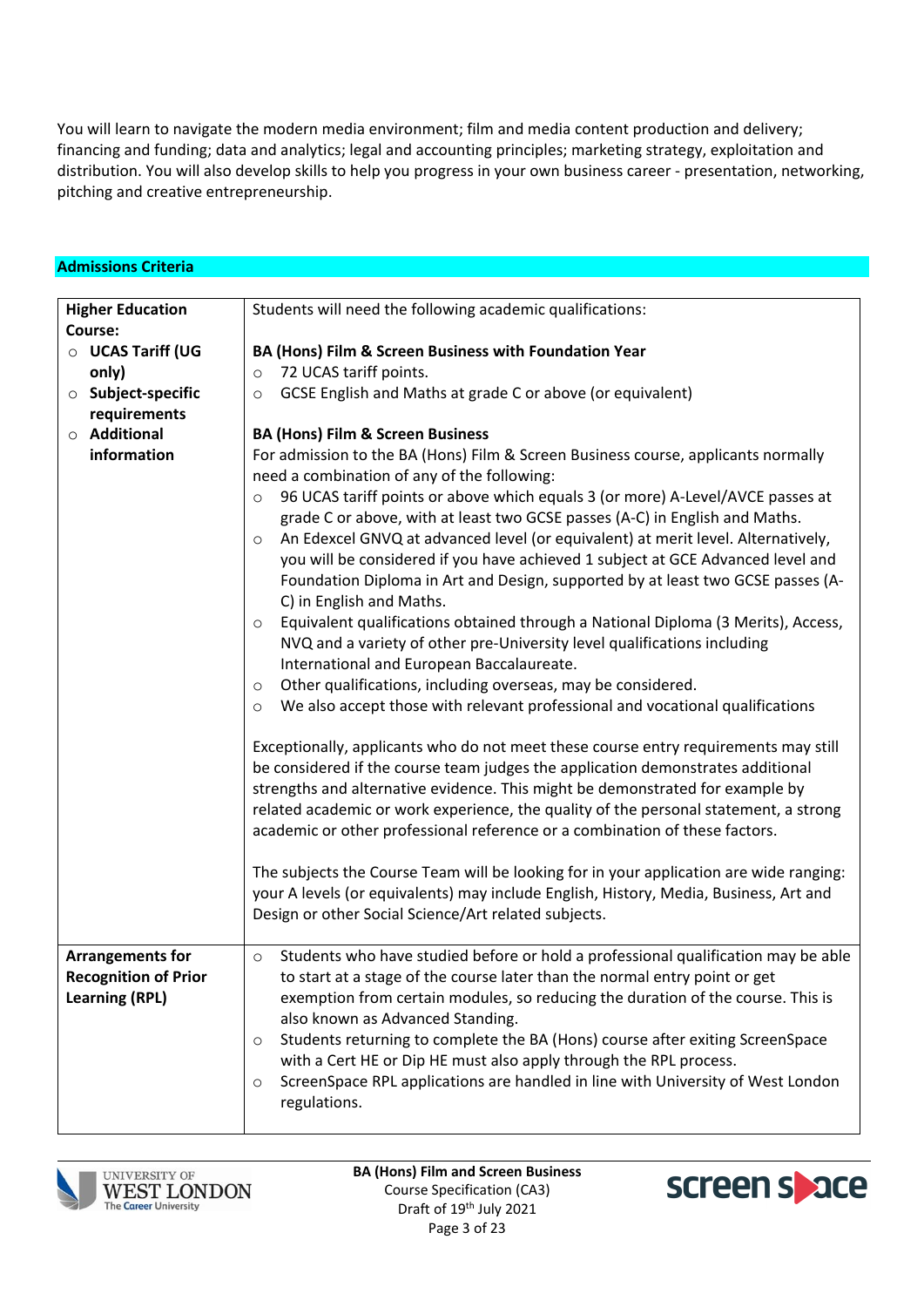You will learn to navigate the modern media environment; film and media content production and delivery; financing and funding; data and analytics; legal and accounting principles; marketing strategy, exploitation and distribution. You will also develop skills to help you progress in your own business career - presentation, networking, pitching and creative entrepreneurship.

| <b>Admissions Criteria</b>  |                                                                                                                                                                  |
|-----------------------------|------------------------------------------------------------------------------------------------------------------------------------------------------------------|
|                             |                                                                                                                                                                  |
| <b>Higher Education</b>     | Students will need the following academic qualifications:                                                                                                        |
| Course:                     |                                                                                                                                                                  |
| O UCAS Tariff (UG           | BA (Hons) Film & Screen Business with Foundation Year                                                                                                            |
| only)                       | 72 UCAS tariff points.<br>$\circ$                                                                                                                                |
| <b>O</b> Subject-specific   | GCSE English and Maths at grade C or above (or equivalent)<br>$\circ$                                                                                            |
| requirements                |                                                                                                                                                                  |
| $\circ$ Additional          | <b>BA (Hons) Film &amp; Screen Business</b>                                                                                                                      |
| information                 | For admission to the BA (Hons) Film & Screen Business course, applicants normally                                                                                |
|                             | need a combination of any of the following:                                                                                                                      |
|                             | 96 UCAS tariff points or above which equals 3 (or more) A-Level/AVCE passes at<br>$\circ$                                                                        |
|                             | grade C or above, with at least two GCSE passes (A-C) in English and Maths.                                                                                      |
|                             | An Edexcel GNVQ at advanced level (or equivalent) at merit level. Alternatively,<br>$\circ$                                                                      |
|                             | you will be considered if you have achieved 1 subject at GCE Advanced level and                                                                                  |
|                             | Foundation Diploma in Art and Design, supported by at least two GCSE passes (A-                                                                                  |
|                             | C) in English and Maths.                                                                                                                                         |
|                             | Equivalent qualifications obtained through a National Diploma (3 Merits), Access,<br>$\circ$                                                                     |
|                             | NVQ and a variety of other pre-University level qualifications including                                                                                         |
|                             | International and European Baccalaureate.                                                                                                                        |
|                             | Other qualifications, including overseas, may be considered.<br>$\circ$                                                                                          |
|                             | We also accept those with relevant professional and vocational qualifications<br>$\circ$                                                                         |
|                             |                                                                                                                                                                  |
|                             | Exceptionally, applicants who do not meet these course entry requirements may still                                                                              |
|                             | be considered if the course team judges the application demonstrates additional<br>strengths and alternative evidence. This might be demonstrated for example by |
|                             |                                                                                                                                                                  |
|                             | related academic or work experience, the quality of the personal statement, a strong                                                                             |
|                             | academic or other professional reference or a combination of these factors.                                                                                      |
|                             | The subjects the Course Team will be looking for in your application are wide ranging:                                                                           |
|                             | your A levels (or equivalents) may include English, History, Media, Business, Art and                                                                            |
|                             | Design or other Social Science/Art related subjects.                                                                                                             |
|                             |                                                                                                                                                                  |
| <b>Arrangements for</b>     | Students who have studied before or hold a professional qualification may be able                                                                                |
| <b>Recognition of Prior</b> | to start at a stage of the course later than the normal entry point or get                                                                                       |
| <b>Learning (RPL)</b>       | exemption from certain modules, so reducing the duration of the course. This is                                                                                  |
|                             | also known as Advanced Standing.                                                                                                                                 |
|                             | Students returning to complete the BA (Hons) course after exiting ScreenSpace<br>$\circ$                                                                         |
|                             | with a Cert HE or Dip HE must also apply through the RPL process.                                                                                                |
|                             | ScreenSpace RPL applications are handled in line with University of West London<br>$\circ$                                                                       |
|                             |                                                                                                                                                                  |
|                             |                                                                                                                                                                  |
|                             | regulations.                                                                                                                                                     |



**BA (Hons) Film and Screen Business** Course Specification (CA3) Draft of 19<sup>th</sup> July 2021 Page 3 of 23

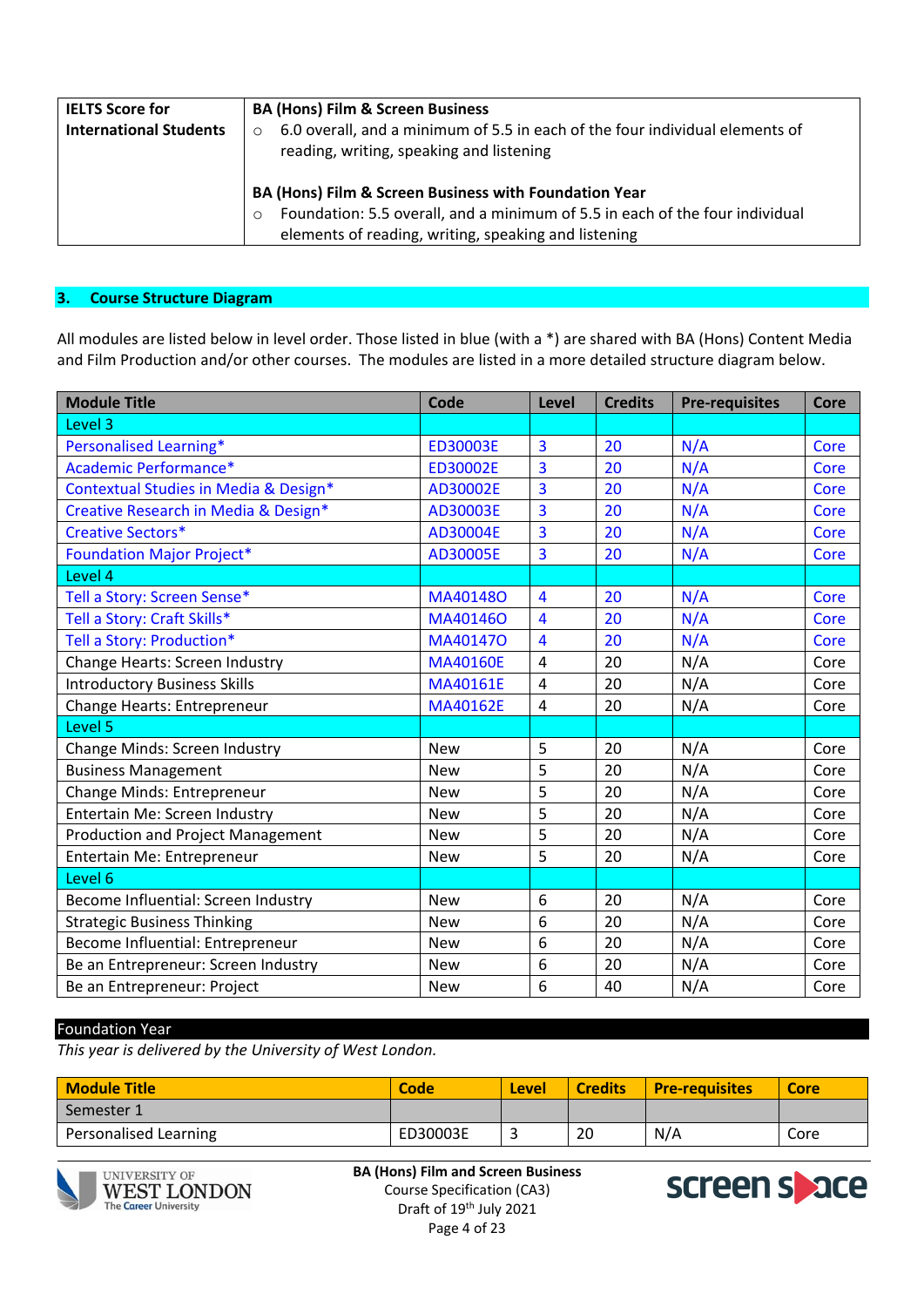| <b>IELTS Score for</b><br><b>International Students</b> | <b>BA (Hons) Film &amp; Screen Business</b><br>6.0 overall, and a minimum of 5.5 in each of the four individual elements of<br>$\circ$<br>reading, writing, speaking and listening                        |
|---------------------------------------------------------|-----------------------------------------------------------------------------------------------------------------------------------------------------------------------------------------------------------|
|                                                         | BA (Hons) Film & Screen Business with Foundation Year<br>Foundation: 5.5 overall, and a minimum of 5.5 in each of the four individual<br>$\Omega$<br>elements of reading, writing, speaking and listening |

### **3. Course Structure Diagram**

All modules are listed below in level order. Those listed in blue (with a \*) are shared with BA (Hons) Content Media and Film Production and/or other courses. The modules are listed in a more detailed structure diagram below.

| <b>Module Title</b>                      | Code            | Level                   | <b>Credits</b> | <b>Pre-requisites</b> | <b>Core</b> |
|------------------------------------------|-----------------|-------------------------|----------------|-----------------------|-------------|
| Level 3                                  |                 |                         |                |                       |             |
| Personalised Learning*                   | <b>ED30003E</b> | 3                       | 20             | N/A                   | Core        |
| Academic Performance*                    | ED30002E        | 3                       | 20             | N/A                   | Core        |
| Contextual Studies in Media & Design*    | AD30002E        | 3                       | 20             | N/A                   | Core        |
| Creative Research in Media & Design*     | AD30003E        | 3                       | 20             | N/A                   | Core        |
| <b>Creative Sectors*</b>                 | AD30004E        | $\overline{3}$          | 20             | N/A                   | Core        |
| <b>Foundation Major Project*</b>         | AD30005E        | $\overline{\mathbf{3}}$ | 20             | N/A                   | Core        |
| Level 4                                  |                 |                         |                |                       |             |
| Tell a Story: Screen Sense*              | MA401480        | 4                       | 20             | N/A                   | Core        |
| Tell a Story: Craft Skills*              | MA40146O        | $\overline{4}$          | 20             | N/A                   | Core        |
| Tell a Story: Production*                | MA401470        | $\overline{4}$          | 20             | N/A                   | Core        |
| Change Hearts: Screen Industry           | <b>MA40160E</b> | 4                       | 20             | N/A                   | Core        |
| <b>Introductory Business Skills</b>      | MA40161E        | $\overline{4}$          | 20             | N/A                   | Core        |
| Change Hearts: Entrepreneur              | MA40162E        | 4                       | 20             | N/A                   | Core        |
| Level 5                                  |                 |                         |                |                       |             |
| Change Minds: Screen Industry            | <b>New</b>      | 5                       | 20             | N/A                   | Core        |
| <b>Business Management</b>               | <b>New</b>      | 5                       | 20             | N/A                   | Core        |
| Change Minds: Entrepreneur               | <b>New</b>      | 5                       | 20             | N/A                   | Core        |
| Entertain Me: Screen Industry            | <b>New</b>      | 5                       | 20             | N/A                   | Core        |
| <b>Production and Project Management</b> | <b>New</b>      | 5                       | 20             | N/A                   | Core        |
| Entertain Me: Entrepreneur               | <b>New</b>      | 5                       | 20             | N/A                   | Core        |
| Level 6                                  |                 |                         |                |                       |             |
| Become Influential: Screen Industry      | <b>New</b>      | 6                       | 20             | N/A                   | Core        |
| <b>Strategic Business Thinking</b>       | <b>New</b>      | 6                       | 20             | N/A                   | Core        |
| Become Influential: Entrepreneur         | <b>New</b>      | 6                       | 20             | N/A                   | Core        |
| Be an Entrepreneur: Screen Industry      | <b>New</b>      | 6                       | 20             | N/A                   | Core        |
| Be an Entrepreneur: Project              | <b>New</b>      | 6                       | 40             | N/A                   | Core        |

#### Foundation Year

*This year is delivered by the University of West London.*

| <b>Module Title</b>   | Code     | <b>Level</b> | <b>Credits</b> | <b>Pre-requisites</b> | <b>Core</b> |
|-----------------------|----------|--------------|----------------|-----------------------|-------------|
| Semester 1            |          |              |                |                       |             |
| Personalised Learning | ED30003E |              | 20             | N/A                   | Core        |



UNIVERSITY OF **WEST LONDON The Career University** 

**BA (Hons) Film and Screen Business** Course Specification (CA3) Draft of 19<sup>th</sup> July 2021 Page 4 of 23

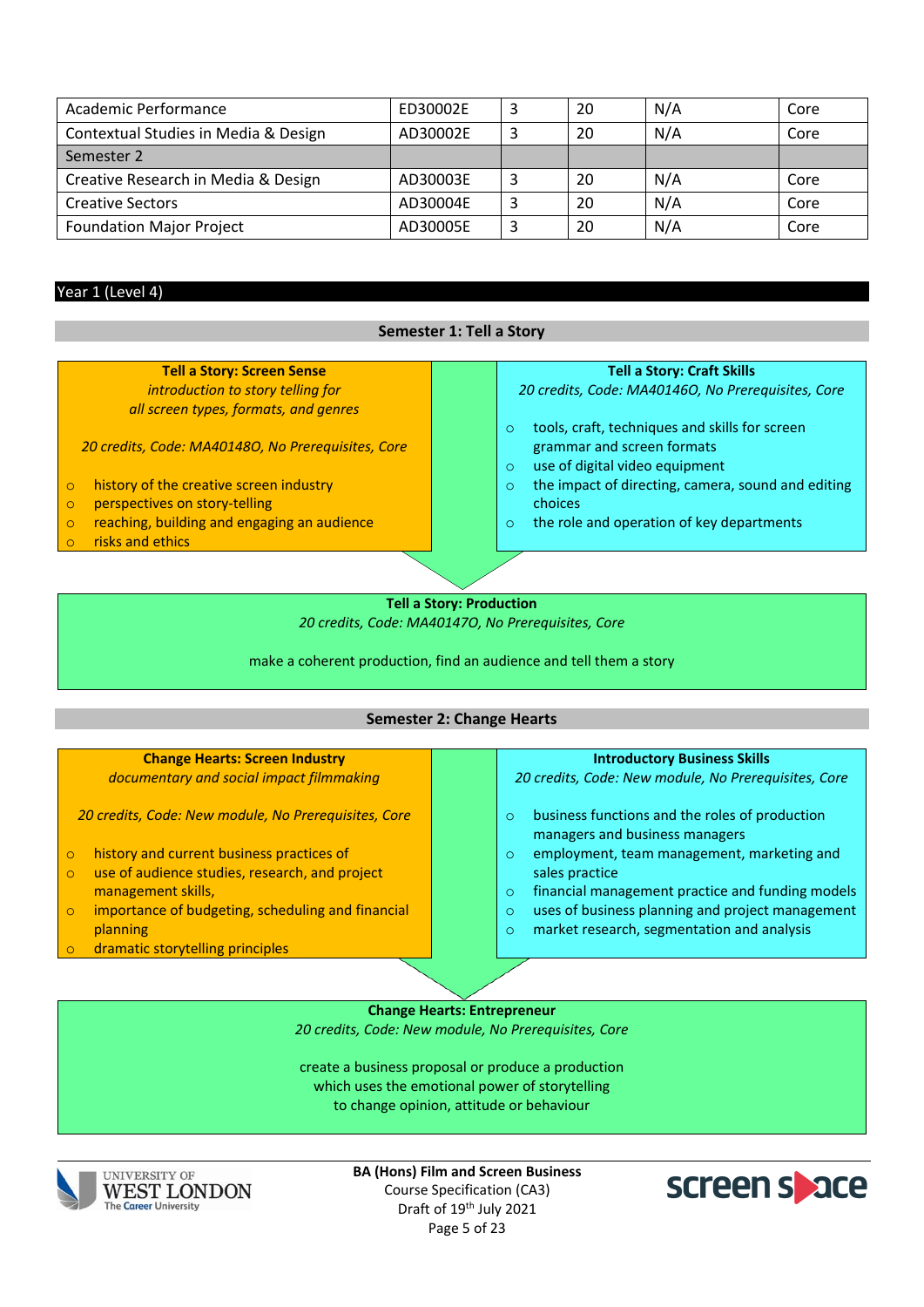| Academic Performance                 | ED30002E | 20 | N/A | Core |
|--------------------------------------|----------|----|-----|------|
| Contextual Studies in Media & Design | AD30002E | 20 | N/A | Core |
| Semester 2                           |          |    |     |      |
| Creative Research in Media & Design  | AD30003E | 20 | N/A | Core |
| <b>Creative Sectors</b>              | AD30004E | 20 | N/A | Core |
| <b>Foundation Major Project</b>      | AD30005E | 20 | N/A | Core |

#### Year 1 (Level 4)

| <b>Semester 1: Tell a Story</b>                        |                                                                |  |  |  |  |  |
|--------------------------------------------------------|----------------------------------------------------------------|--|--|--|--|--|
|                                                        |                                                                |  |  |  |  |  |
| <b>Tell a Story: Screen Sense</b>                      | <b>Tell a Story: Craft Skills</b>                              |  |  |  |  |  |
| introduction to story telling for                      | 20 credits, Code: MA401460, No Prerequisites, Core             |  |  |  |  |  |
| all screen types, formats, and genres                  |                                                                |  |  |  |  |  |
|                                                        | tools, craft, techniques and skills for screen<br>$\circ$      |  |  |  |  |  |
| 20 credits, Code: MA401480, No Prerequisites, Core     | grammar and screen formats                                     |  |  |  |  |  |
|                                                        | use of digital video equipment<br>$\circ$                      |  |  |  |  |  |
| history of the creative screen industry<br>$\circ$     | the impact of directing, camera, sound and editing<br>$\Omega$ |  |  |  |  |  |
| perspectives on story-telling<br>$\circ$               | choices                                                        |  |  |  |  |  |
| reaching, building and engaging an audience<br>$\circ$ | the role and operation of key departments<br>$\circ$           |  |  |  |  |  |
| risks and ethics<br>$\circ$                            |                                                                |  |  |  |  |  |
|                                                        |                                                                |  |  |  |  |  |
|                                                        |                                                                |  |  |  |  |  |
| <b>Tell a Story: Production</b>                        |                                                                |  |  |  |  |  |

**Tell a Story: Production**  *20 credits, Code: MA40147O, No Prerequisites, Core*

make a coherent production, find an audience and tell them a story

### **Semester 2: Change Hearts**

#### **Change Hearts: Screen Industry** *documentary and social impact filmmaking 20 credits, Code: New module, No Prerequisites, Core* ○ history and current business practices of<br>○ use of audience studies, research, and pr use of audience studies, research, and project management skills, o importance of budgeting, scheduling and financial planning dramatic storytelling principles **Introductory Business Skills** *20 credits, Code: New module, No Prerequisites, Core* o business functions and the roles of production managers and business managers o employment, team management, marketing and sales practice o financial management practice and funding models o uses of business planning and project management o market research, segmentation and analysis

**Change Hearts: Entrepreneur** *20 credits, Code: New module, No Prerequisites, Core*

create a business proposal or produce a production which uses the emotional power of storytelling to change opinion, attitude or behaviour



UNIVERSITY OF **WEST LONDON The Career University** 

**BA (Hons) Film and Screen Business** Course Specification (CA3) Draft of 19<sup>th</sup> July 2021 Page 5 of 23

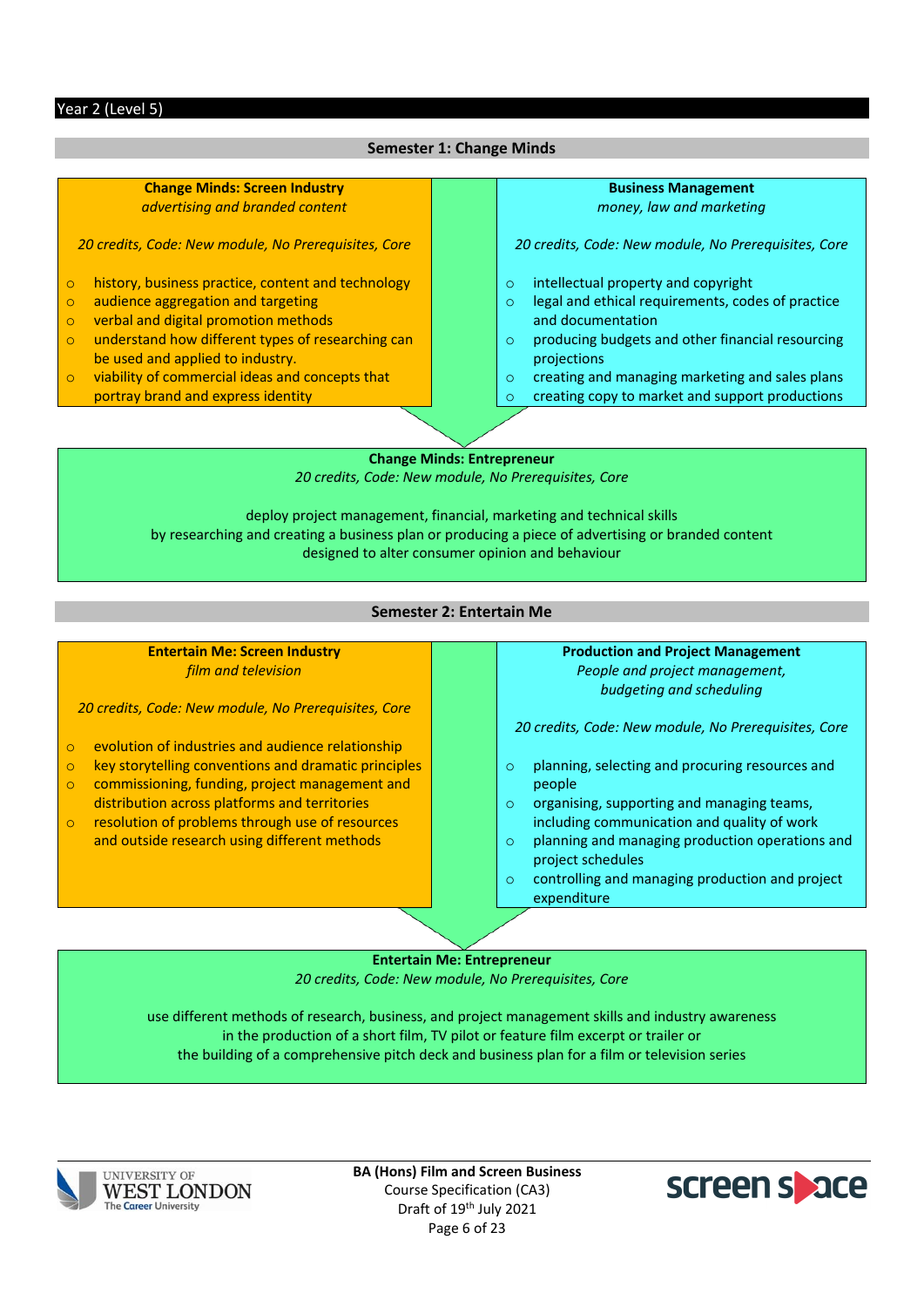#### **Semester 1: Change Minds**

#### **Change Minds: Screen Industry** *advertising and branded content*

*20 credits, Code: New module, No Prerequisites, Core*

- o history, business practice, content and technology
- o audience aggregation and targeting
- o verbal and digital promotion methods
- o understand how different types of researching can be used and applied to industry.
- o viability of commercial ideas and concepts that portray brand and express identity

# **Business Management**

*money, law and marketing*

*20 credits, Code: New module, No Prerequisites, Core*

- o intellectual property and copyright
- o legal and ethical requirements, codes of practice and documentation
- o producing budgets and other financial resourcing projections
- $\circ$  creating and managing marketing and sales plans<br> $\circ$  creating copy to market and support productions
- creating copy to market and support productions

**Change Minds: Entrepreneur** *20 credits, Code: New module, No Prerequisites, Core*

deploy project management, financial, marketing and technical skills by researching and creating a business plan or producing a piece of advertising or branded content designed to alter consumer opinion and behaviour

#### **Semester 2: Entertain Me**

**Entertain Me: Screen Industry** *film and television*

*20 credits, Code: New module, No Prerequisites, Core*

- o evolution of industries and audience relationship
- o key storytelling conventions and dramatic principles
- o commissioning, funding, project management and distribution across platforms and territories
- o resolution of problems through use of resources and outside research using different methods

#### **Production and Project Management**

*People and project management, budgeting and scheduling*

*20 credits, Code: New module, No Prerequisites, Core*

- o planning, selecting and procuring resources and people
- o organising, supporting and managing teams, including communication and quality of work
- o planning and managing production operations and project schedules
- o controlling and managing production and project expenditure

#### **Entertain Me: Entrepreneur**

*20 credits, Code: New module, No Prerequisites, Core*

use different methods of research, business, and project management skills and industry awareness in the production of a short film, TV pilot or feature film excerpt or trailer or the building of a comprehensive pitch deck and business plan for a film or television series



**BA (Hons) Film and Screen Business** Course Specification (CA3) Draft of 19<sup>th</sup> July 2021 Page 6 of 23

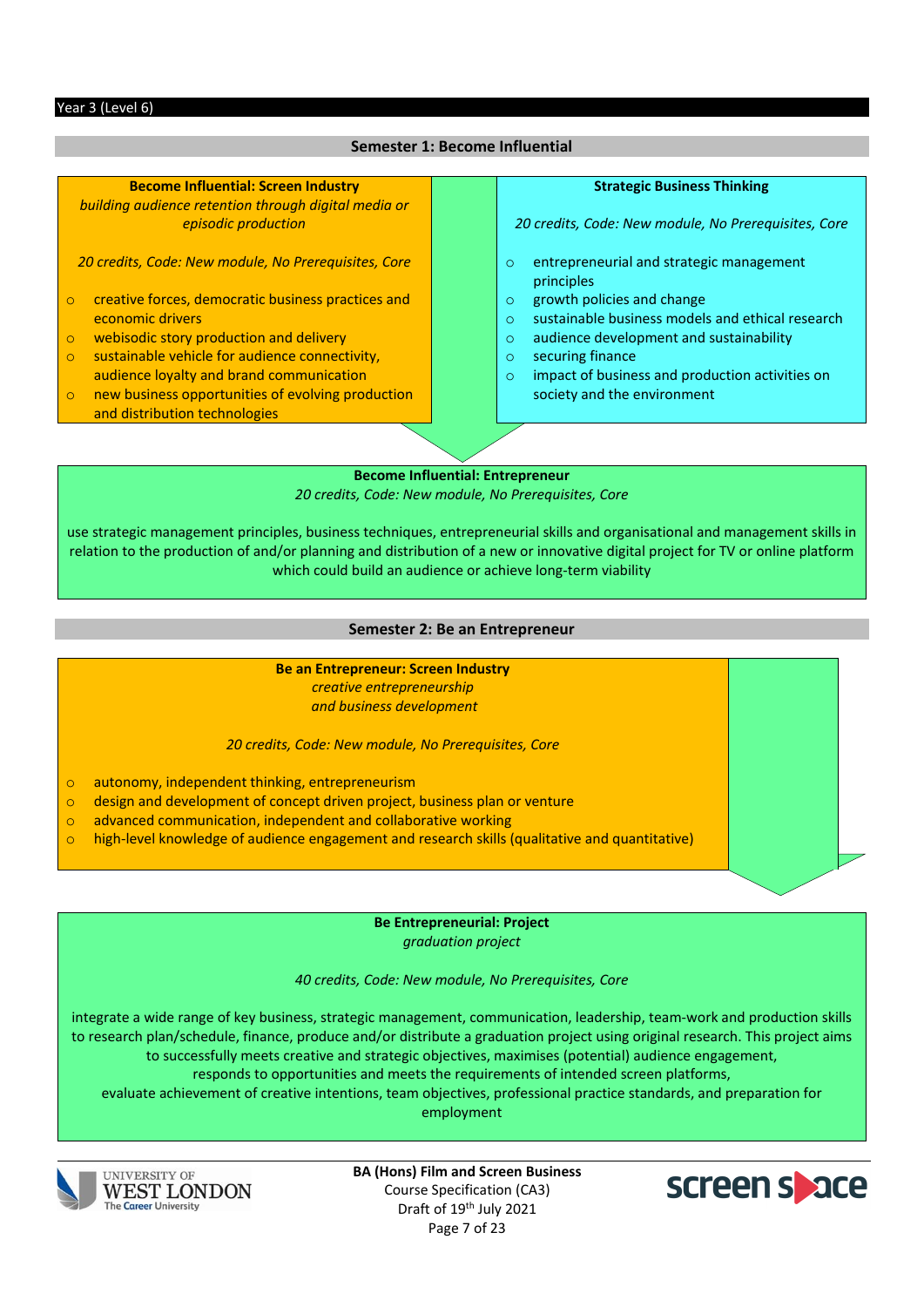#### Year 3 (Level 6)

#### **Semester 1: Become Influential**

**Become Influential: Screen Industry** *building audience retention through digital media or episodic production*

*20 credits, Code: New module, No Prerequisites, Core*

- o creative forces, democratic business practices and economic drivers
- o webisodic story production and delivery
- o sustainable vehicle for audience connectivity, audience loyalty and brand communication
- o new business opportunities of evolving production and distribution technologies

#### **Strategic Business Thinking**

*20 credits, Code: New module, No Prerequisites, Core*

- o entrepreneurial and strategic management principles
- o growth policies and change
- o sustainable business models and ethical research
- o audience development and sustainability
- o securing finance
- o impact of business and production activities on society and the environment

**Become Influential: Entrepreneur**  *20 credits, Code: New module, No Prerequisites, Core*

use strategic management principles, business techniques, entrepreneurial skills and organisational and management skills in relation to the production of and/or planning and distribution of a new or innovative digital project for TV or online platform which could build an audience or achieve long-term viability

#### **Semester 2: Be an Entrepreneur**

#### **Be an Entrepreneur: Screen Industry**

*creative entrepreneurship and business development*

*20 credits, Code: New module, No Prerequisites, Core*

- o autonomy, independent thinking, entrepreneurism
- $\circ$  design and development of concept driven project, business plan or venture
- o advanced communication, independent and collaborative working
- $\circ$  high-level knowledge of audience engagement and research skills (qualitative and quantitative)

**Be Entrepreneurial: Project** *graduation project*

*40 credits, Code: New module, No Prerequisites, Core*

integrate a wide range of key business, strategic management, communication, leadership, team-work and production skills to research plan/schedule, finance, produce and/or distribute a graduation project using original research. This project aims to successfully meets creative and strategic objectives, maximises (potential) audience engagement, responds to opportunities and meets the requirements of intended screen platforms,

evaluate achievement of creative intentions, team objectives, professional practice standards, and preparation for employment



**UNIVERSITY OF WEST LONDON The Career University** 

**BA (Hons) Film and Screen Business** Course Specification (CA3) Draft of 19<sup>th</sup> July 2021 Page 7 of 23

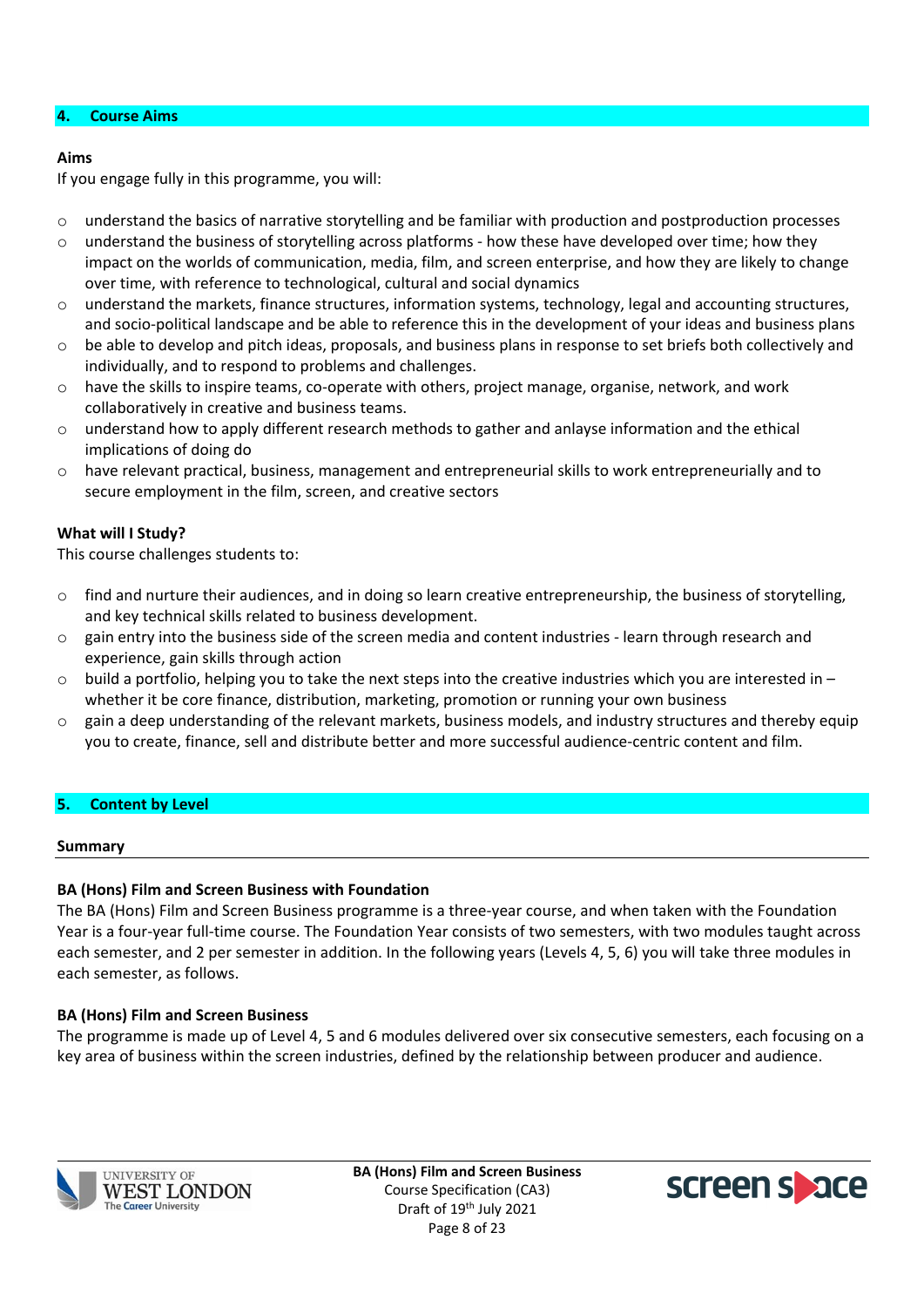#### **4. Course Aims**

#### **Aims**

If you engage fully in this programme, you will:

- o understand the basics of narrative storytelling and be familiar with production and postproduction processes
- $\circ$  understand the business of storytelling across platforms how these have developed over time; how they impact on the worlds of communication, media, film, and screen enterprise, and how they are likely to change over time, with reference to technological, cultural and social dynamics
- o understand the markets, finance structures, information systems, technology, legal and accounting structures, and socio-political landscape and be able to reference this in the development of your ideas and business plans
- $\circ$  be able to develop and pitch ideas, proposals, and business plans in response to set briefs both collectively and individually, and to respond to problems and challenges.
- o have the skills to inspire teams, co-operate with others, project manage, organise, network, and work collaboratively in creative and business teams.
- $\circ$  understand how to apply different research methods to gather and anlayse information and the ethical implications of doing do
- $\circ$  have relevant practical, business, management and entrepreneurial skills to work entrepreneurially and to secure employment in the film, screen, and creative sectors

### **What will I Study?**

This course challenges students to:

- o find and nurture their audiences, and in doing so learn creative entrepreneurship, the business of storytelling, and key technical skills related to business development.
- o gain entry into the business side of the screen media and content industries learn through research and experience, gain skills through action
- $\circ$  build a portfolio, helping you to take the next steps into the creative industries which you are interested in whether it be core finance, distribution, marketing, promotion or running your own business
- o gain a deep understanding of the relevant markets, business models, and industry structures and thereby equip you to create, finance, sell and distribute better and more successful audience-centric content and film.

### **5. Content by Level**

#### **Summary**

### **BA (Hons) Film and Screen Business with Foundation**

The BA (Hons) Film and Screen Business programme is a three-year course, and when taken with the Foundation Year is a four-year full-time course. The Foundation Year consists of two semesters, with two modules taught across each semester, and 2 per semester in addition. In the following years (Levels 4, 5, 6) you will take three modules in each semester, as follows.

#### **BA (Hons) Film and Screen Business**

The programme is made up of Level 4, 5 and 6 modules delivered over six consecutive semesters, each focusing on a key area of business within the screen industries, defined by the relationship between producer and audience.



**BA (Hons) Film and Screen Business** Course Specification (CA3) Draft of 19<sup>th</sup> July 2021 Page 8 of 23

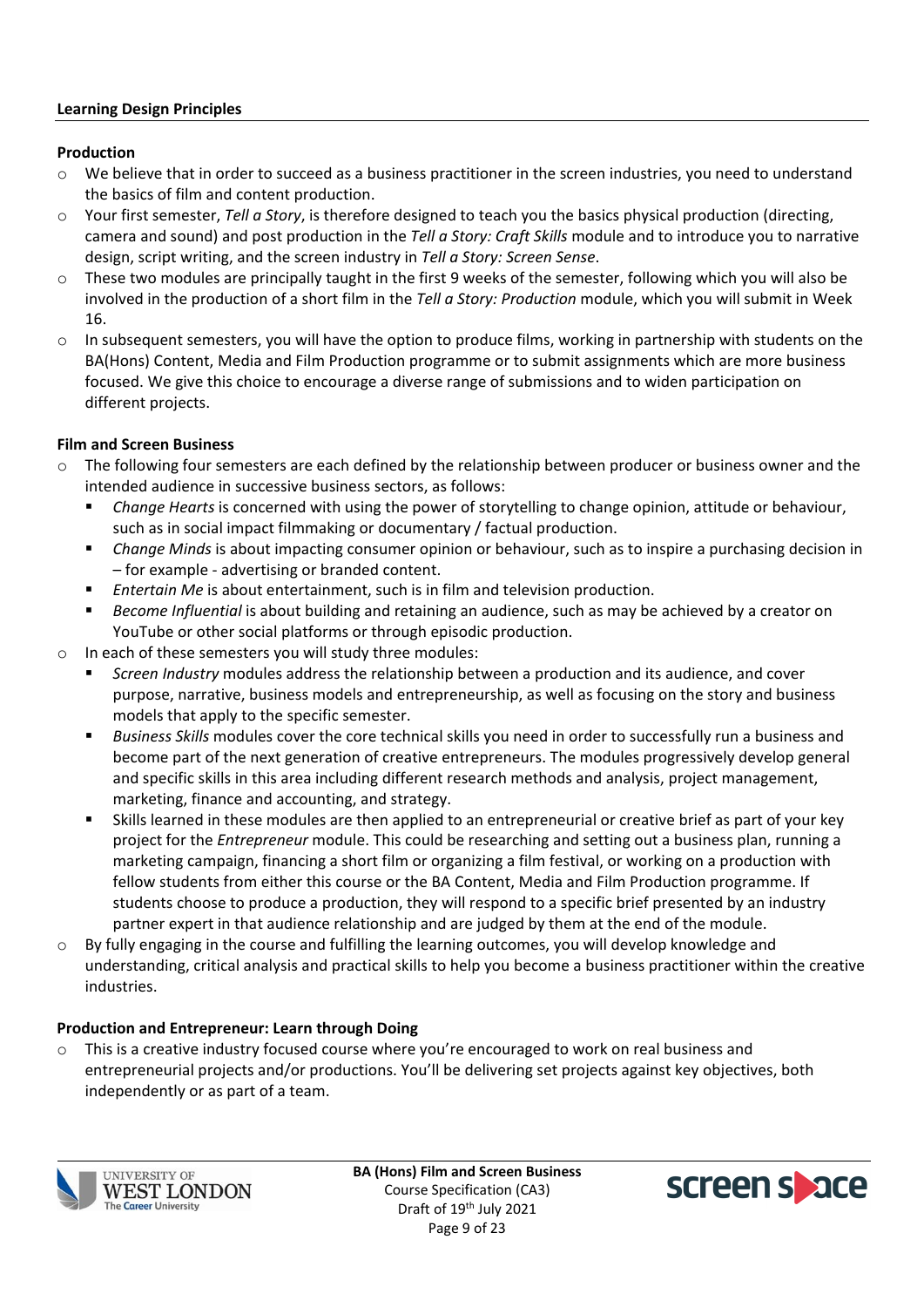#### **Learning Design Principles**

#### **Production**

- o We believe that in order to succeed as a business practitioner in the screen industries, you need to understand the basics of film and content production.
- o Your first semester, *Tell a Story*, is therefore designed to teach you the basics physical production (directing, camera and sound) and post production in the *Tell a Story: Craft Skills* module and to introduce you to narrative design, script writing, and the screen industry in *Tell a Story: Screen Sense*.
- $\circ$  These two modules are principally taught in the first 9 weeks of the semester, following which you will also be involved in the production of a short film in the *Tell a Story: Production* module, which you will submit in Week 16.
- $\circ$  In subsequent semesters, you will have the option to produce films, working in partnership with students on the BA(Hons) Content, Media and Film Production programme or to submit assignments which are more business focused. We give this choice to encourage a diverse range of submissions and to widen participation on different projects.

### **Film and Screen Business**

- o The following four semesters are each defined by the relationship between producer or business owner and the intended audience in successive business sectors, as follows:
	- *Change Hearts* is concerned with using the power of storytelling to change opinion, attitude or behaviour, such as in social impact filmmaking or documentary / factual production.
	- *Change Minds* is about impacting consumer opinion or behaviour, such as to inspire a purchasing decision in – for example - advertising or branded content.
	- *Entertain Me* is about entertainment, such is in film and television production.
	- *Become Influential* is about building and retaining an audience, such as may be achieved by a creator on YouTube or other social platforms or through episodic production.
- o In each of these semesters you will study three modules:
	- *Screen Industry* modules address the relationship between a production and its audience, and cover purpose, narrative, business models and entrepreneurship, as well as focusing on the story and business models that apply to the specific semester.
	- *Business Skills* modules cover the core technical skills you need in order to successfully run a business and become part of the next generation of creative entrepreneurs. The modules progressively develop general and specific skills in this area including different research methods and analysis, project management, marketing, finance and accounting, and strategy.
	- Skills learned in these modules are then applied to an entrepreneurial or creative brief as part of your key project for the *Entrepreneur* module. This could be researching and setting out a business plan, running a marketing campaign, financing a short film or organizing a film festival, or working on a production with fellow students from either this course or the BA Content, Media and Film Production programme. If students choose to produce a production, they will respond to a specific brief presented by an industry partner expert in that audience relationship and are judged by them at the end of the module.
- $\circ$  By fully engaging in the course and fulfilling the learning outcomes, you will develop knowledge and understanding, critical analysis and practical skills to help you become a business practitioner within the creative industries.

#### **Production and Entrepreneur: Learn through Doing**

 $\circ$  This is a creative industry focused course where you're encouraged to work on real business and entrepreneurial projects and/or productions. You'll be delivering set projects against key objectives, both independently or as part of a team.



**BA (Hons) Film and Screen Business** Course Specification (CA3) Draft of 19<sup>th</sup> July 2021 Page 9 of 23

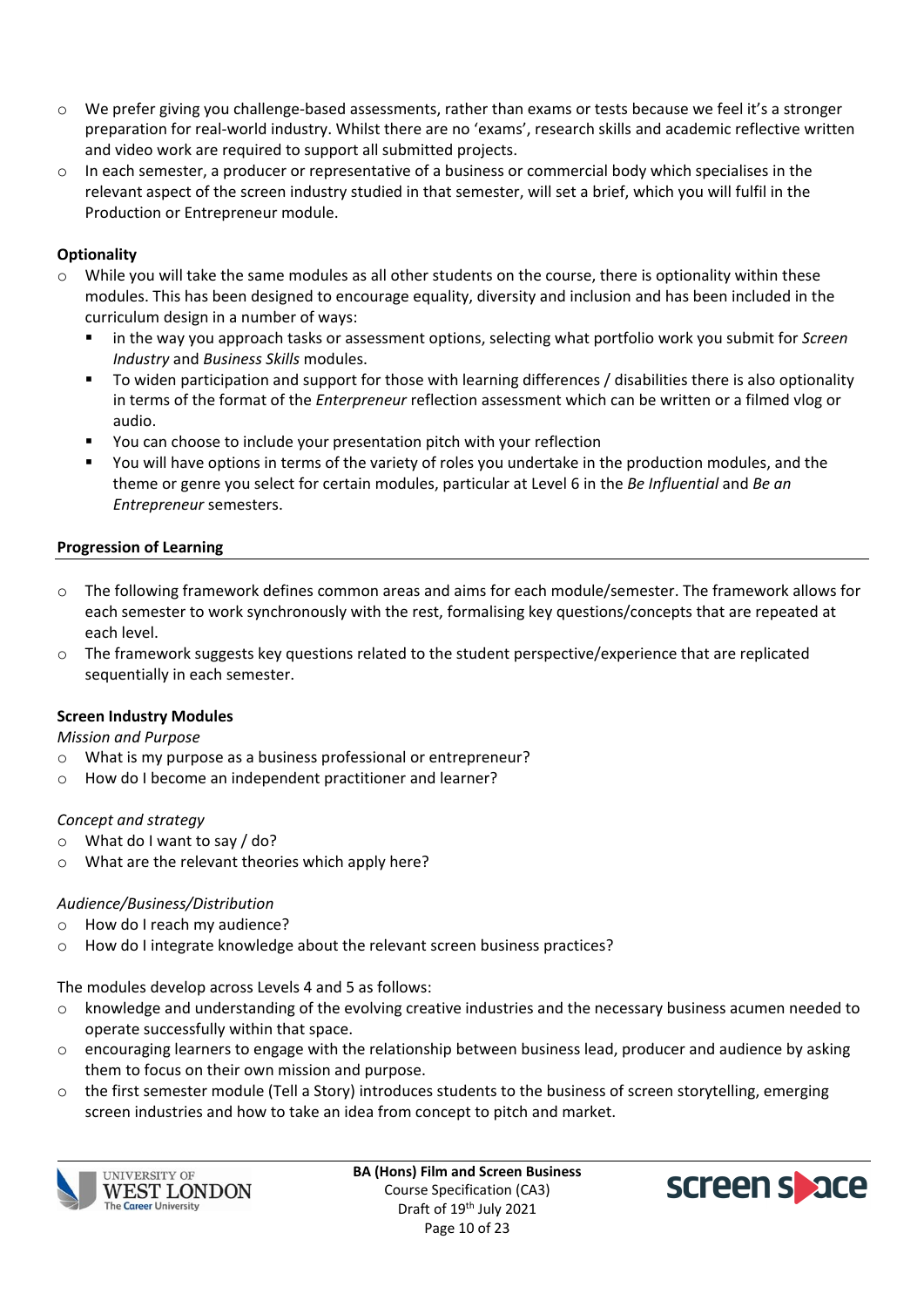- o We prefer giving you challenge-based assessments, rather than exams or tests because we feel it's a stronger preparation for real-world industry. Whilst there are no 'exams', research skills and academic reflective written and video work are required to support all submitted projects.
- $\circ$  In each semester, a producer or representative of a business or commercial body which specialises in the relevant aspect of the screen industry studied in that semester, will set a brief, which you will fulfil in the Production or Entrepreneur module.

### **Optionality**

- o While you will take the same modules as all other students on the course, there is optionality within these modules. This has been designed to encourage equality, diversity and inclusion and has been included in the curriculum design in a number of ways:
	- in the way you approach tasks or assessment options, selecting what portfolio work you submit for *Screen Industry* and *Business Skills* modules.
	- To widen participation and support for those with learning differences / disabilities there is also optionality in terms of the format of the *Enterpreneur* reflection assessment which can be written or a filmed vlog or audio.
	- You can choose to include your presentation pitch with your reflection
	- You will have options in terms of the variety of roles you undertake in the production modules, and the theme or genre you select for certain modules, particular at Level 6 in the *Be Influential* and *Be an Entrepreneur* semesters.

### **Progression of Learning**

- o The following framework defines common areas and aims for each module/semester. The framework allows for each semester to work synchronously with the rest, formalising key questions/concepts that are repeated at each level.
- o The framework suggests key questions related to the student perspective/experience that are replicated sequentially in each semester.

### **Screen Industry Modules**

*Mission and Purpose*

- o What is my purpose as a business professional or entrepreneur?
- o How do I become an independent practitioner and learner?

### *Concept and strategy*

- o What do I want to say / do?
- $\circ$  What are the relevant theories which apply here?

### *Audience/Business/Distribution*

- o How do I reach my audience?
- o How do I integrate knowledge about the relevant screen business practices?

The modules develop across Levels 4 and 5 as follows:

- o knowledge and understanding of the evolving creative industries and the necessary business acumen needed to operate successfully within that space.
- o encouraging learners to engage with the relationship between business lead, producer and audience by asking them to focus on their own mission and purpose.
- $\circ$  the first semester module (Tell a Story) introduces students to the business of screen storytelling, emerging screen industries and how to take an idea from concept to pitch and market.



**UNIVERSITY OF** WEST LONDON The Career University

**BA (Hons) Film and Screen Business** Course Specification (CA3) Draft of 19<sup>th</sup> July 2021 Page 10 of 23

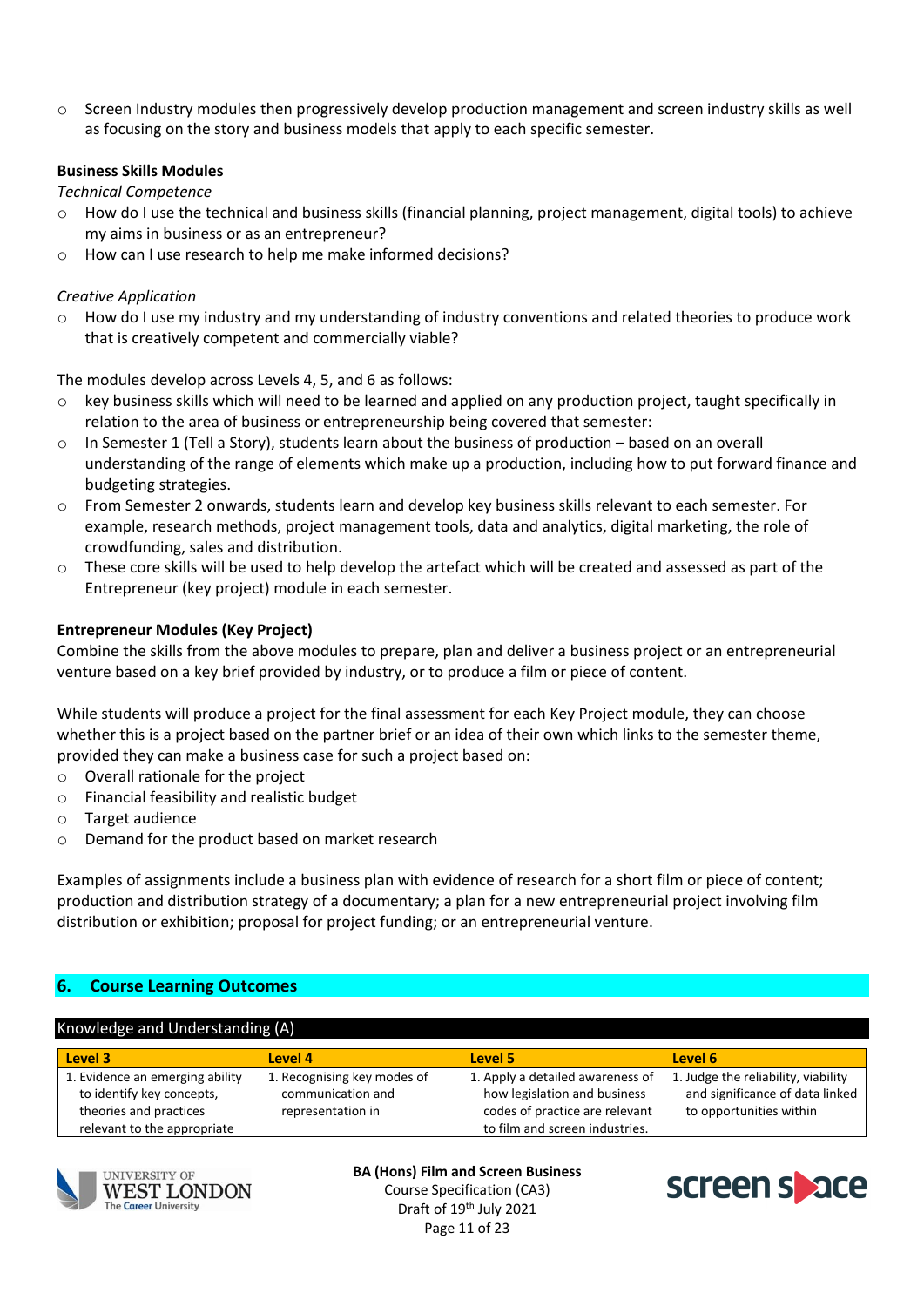$\circ$  Screen Industry modules then progressively develop production management and screen industry skills as well as focusing on the story and business models that apply to each specific semester.

### **Business Skills Modules**

*Technical Competence*

- $\circ$  How do I use the technical and business skills (financial planning, project management, digital tools) to achieve my aims in business or as an entrepreneur?
- o How can I use research to help me make informed decisions?

### *Creative Application*

 $\circ$  How do I use my industry and my understanding of industry conventions and related theories to produce work that is creatively competent and commercially viable?

The modules develop across Levels 4, 5, and 6 as follows:

- $\circ$  key business skills which will need to be learned and applied on any production project, taught specifically in relation to the area of business or entrepreneurship being covered that semester:
- o In Semester 1 (Tell a Story), students learn about the business of production based on an overall understanding of the range of elements which make up a production, including how to put forward finance and budgeting strategies.
- o From Semester 2 onwards, students learn and develop key business skills relevant to each semester. For example, research methods, project management tools, data and analytics, digital marketing, the role of crowdfunding, sales and distribution.
- $\circ$  These core skills will be used to help develop the artefact which will be created and assessed as part of the Entrepreneur (key project) module in each semester.

### **Entrepreneur Modules (Key Project)**

Combine the skills from the above modules to prepare, plan and deliver a business project or an entrepreneurial venture based on a key brief provided by industry, or to produce a film or piece of content.

While students will produce a project for the final assessment for each Key Project module, they can choose whether this is a project based on the partner brief or an idea of their own which links to the semester theme, provided they can make a business case for such a project based on:

- o Overall rationale for the project
- o Financial feasibility and realistic budget
- o Target audience
- o Demand for the product based on market research

Examples of assignments include a business plan with evidence of research for a short film or piece of content; production and distribution strategy of a documentary; a plan for a new entrepreneurial project involving film distribution or exhibition; proposal for project funding; or an entrepreneurial venture.

### **6. Course Learning Outcomes**

#### Knowledge and Understanding (A)

| Level 3                         | Level 4                     | Level 5                          | Level 6                             |
|---------------------------------|-----------------------------|----------------------------------|-------------------------------------|
| 1. Evidence an emerging ability | 1. Recognising key modes of | 1. Apply a detailed awareness of | 1. Judge the reliability, viability |
| to identify key concepts,       | communication and           | how legislation and business     | and significance of data linked     |
| theories and practices          | representation in           | codes of practice are relevant   | to opportunities within             |
| relevant to the appropriate     |                             | to film and screen industries.   |                                     |





**BA (Hons) Film and Screen Business** Course Specification (CA3) Draft of 19<sup>th</sup> July 2021 Page 11 of 23

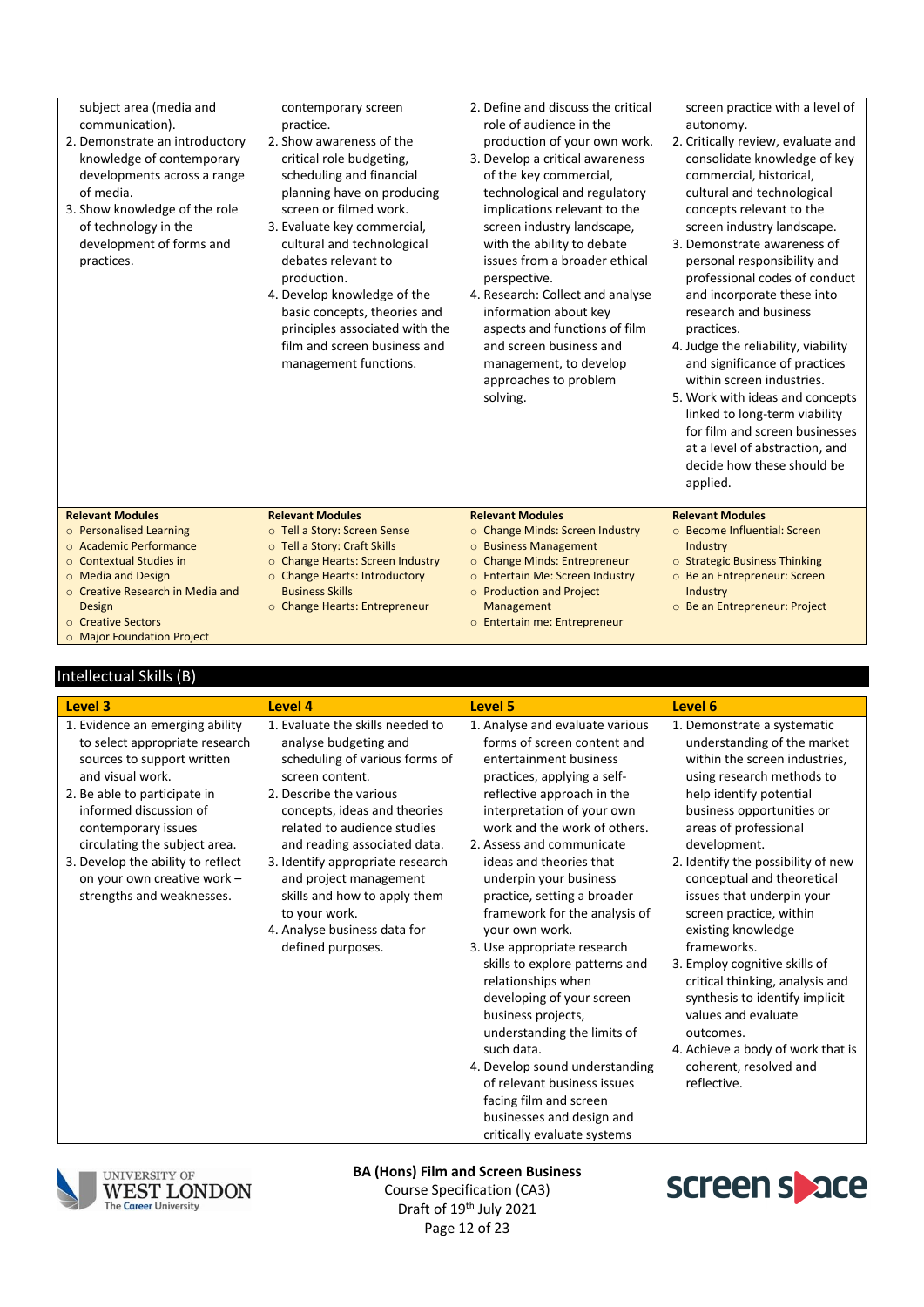| <b>Relevant Modules</b><br>o Personalised Learning<br>○ Academic Performance<br>○ Contextual Studies in                                                                                                                                                  | <b>Relevant Modules</b><br>o Tell a Story: Screen Sense<br>o Tell a Story: Craft Skills<br>o Change Hearts: Screen Industry                                                                                                                                                                                    | <b>Relevant Modules</b><br>o Change Minds: Screen Industry<br><b>O</b> Business Management<br>o Change Minds: Entrepreneur                                                                                                                                                                                                                                                  | linked to long-term viability<br>for film and screen businesses<br>at a level of abstraction, and<br>decide how these should be<br>applied.<br><b>Relevant Modules</b><br>○ Become Influential: Screen<br>Industry<br>o Strategic Business Thinking                                                                                                                |
|----------------------------------------------------------------------------------------------------------------------------------------------------------------------------------------------------------------------------------------------------------|----------------------------------------------------------------------------------------------------------------------------------------------------------------------------------------------------------------------------------------------------------------------------------------------------------------|-----------------------------------------------------------------------------------------------------------------------------------------------------------------------------------------------------------------------------------------------------------------------------------------------------------------------------------------------------------------------------|--------------------------------------------------------------------------------------------------------------------------------------------------------------------------------------------------------------------------------------------------------------------------------------------------------------------------------------------------------------------|
|                                                                                                                                                                                                                                                          | basic concepts, theories and<br>principles associated with the<br>film and screen business and<br>management functions.                                                                                                                                                                                        | information about key<br>aspects and functions of film<br>and screen business and<br>management, to develop<br>approaches to problem<br>solving.                                                                                                                                                                                                                            | research and business<br>practices.<br>4. Judge the reliability, viability<br>and significance of practices<br>within screen industries.<br>5. Work with ideas and concepts                                                                                                                                                                                        |
| subject area (media and<br>communication).<br>2. Demonstrate an introductory<br>knowledge of contemporary<br>developments across a range<br>of media.<br>3. Show knowledge of the role<br>of technology in the<br>development of forms and<br>practices. | contemporary screen<br>practice.<br>2. Show awareness of the<br>critical role budgeting,<br>scheduling and financial<br>planning have on producing<br>screen or filmed work.<br>3. Evaluate key commercial,<br>cultural and technological<br>debates relevant to<br>production.<br>4. Develop knowledge of the | 2. Define and discuss the critical<br>role of audience in the<br>production of your own work.<br>3. Develop a critical awareness<br>of the key commercial,<br>technological and regulatory<br>implications relevant to the<br>screen industry landscape,<br>with the ability to debate<br>issues from a broader ethical<br>perspective.<br>4. Research: Collect and analyse | screen practice with a level of<br>autonomy.<br>2. Critically review, evaluate and<br>consolidate knowledge of key<br>commercial, historical,<br>cultural and technological<br>concepts relevant to the<br>screen industry landscape.<br>3. Demonstrate awareness of<br>personal responsibility and<br>professional codes of conduct<br>and incorporate these into |

#### Intellectual Skills (B)

| Level 3                                                                                                                                                                                                                                                                                                                                | Level 4                                                                                                                                                                                                                                                                                                                                                                                                      | Level 5                                                                                                                                                                                                                                                                                                                                                                                                                                                                                                                                                                                                                                                                                                                               | Level 6                                                                                                                                                                                                                                                                                                                                                                                                                                                                                                                                                                                                            |
|----------------------------------------------------------------------------------------------------------------------------------------------------------------------------------------------------------------------------------------------------------------------------------------------------------------------------------------|--------------------------------------------------------------------------------------------------------------------------------------------------------------------------------------------------------------------------------------------------------------------------------------------------------------------------------------------------------------------------------------------------------------|---------------------------------------------------------------------------------------------------------------------------------------------------------------------------------------------------------------------------------------------------------------------------------------------------------------------------------------------------------------------------------------------------------------------------------------------------------------------------------------------------------------------------------------------------------------------------------------------------------------------------------------------------------------------------------------------------------------------------------------|--------------------------------------------------------------------------------------------------------------------------------------------------------------------------------------------------------------------------------------------------------------------------------------------------------------------------------------------------------------------------------------------------------------------------------------------------------------------------------------------------------------------------------------------------------------------------------------------------------------------|
| 1. Evidence an emerging ability<br>to select appropriate research<br>sources to support written<br>and visual work.<br>2. Be able to participate in<br>informed discussion of<br>contemporary issues<br>circulating the subject area.<br>3. Develop the ability to reflect<br>on your own creative work -<br>strengths and weaknesses. | 1. Evaluate the skills needed to<br>analyse budgeting and<br>scheduling of various forms of<br>screen content.<br>2. Describe the various<br>concepts, ideas and theories<br>related to audience studies<br>and reading associated data.<br>3. Identify appropriate research<br>and project management<br>skills and how to apply them<br>to your work.<br>4. Analyse business data for<br>defined purposes. | 1. Analyse and evaluate various<br>forms of screen content and<br>entertainment business<br>practices, applying a self-<br>reflective approach in the<br>interpretation of your own<br>work and the work of others.<br>2. Assess and communicate<br>ideas and theories that<br>underpin your business<br>practice, setting a broader<br>framework for the analysis of<br>your own work.<br>3. Use appropriate research<br>skills to explore patterns and<br>relationships when<br>developing of your screen<br>business projects,<br>understanding the limits of<br>such data.<br>4. Develop sound understanding<br>of relevant business issues<br>facing film and screen<br>businesses and design and<br>critically evaluate systems | 1. Demonstrate a systematic<br>understanding of the market<br>within the screen industries,<br>using research methods to<br>help identify potential<br>business opportunities or<br>areas of professional<br>development.<br>2. Identify the possibility of new<br>conceptual and theoretical<br>issues that underpin your<br>screen practice, within<br>existing knowledge<br>frameworks.<br>3. Employ cognitive skills of<br>critical thinking, analysis and<br>synthesis to identify implicit<br>values and evaluate<br>outcomes.<br>4. Achieve a body of work that is<br>coherent, resolved and<br>reflective. |



UNIVERSITY OF WEST LONDON The Career University

**BA (Hons) Film and Screen Business** Course Specification (CA3) Draft of 19<sup>th</sup> July 2021 Page 12 of 23

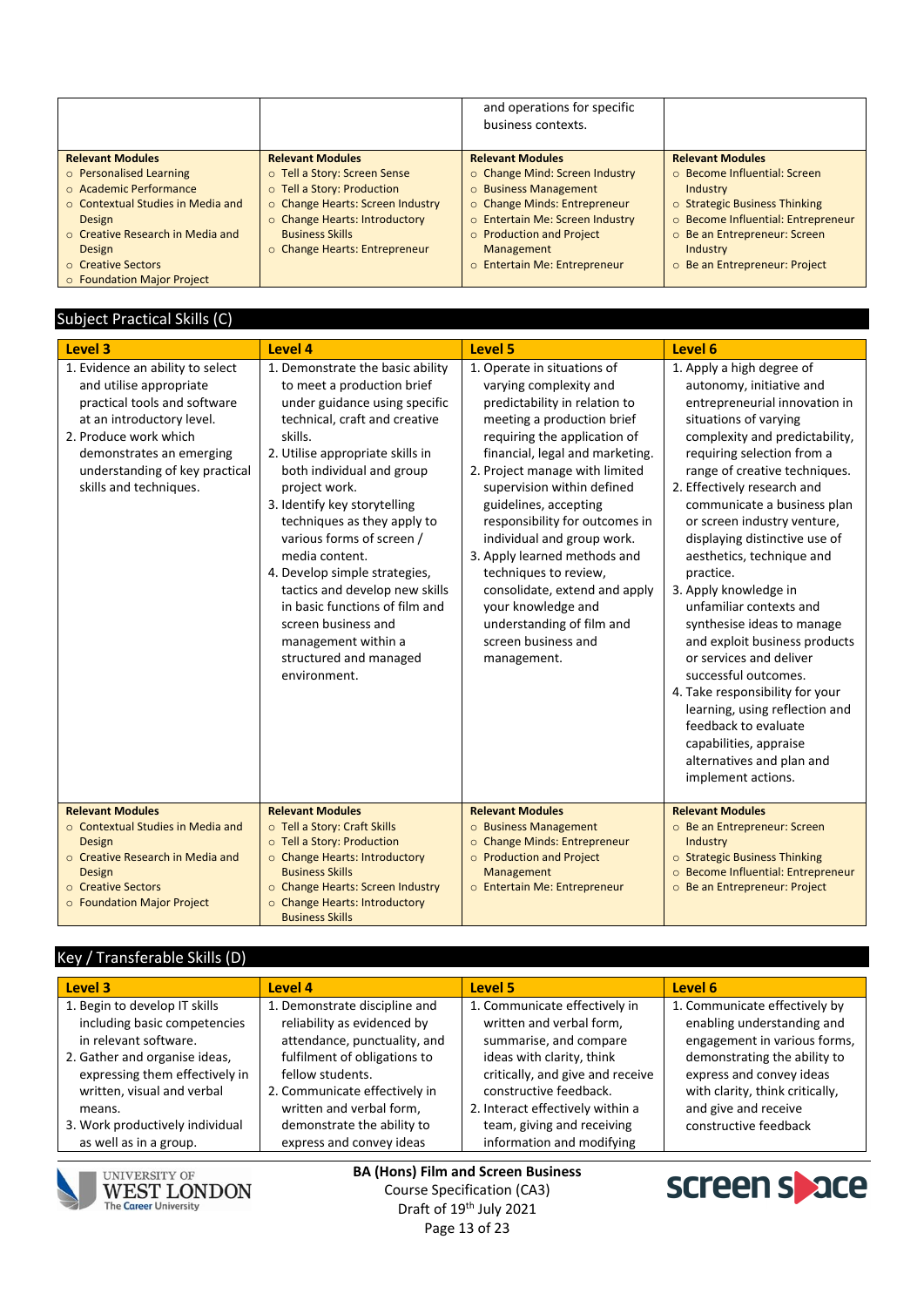|                                                                                                                                                                   |                                                                                                                                                                                            | and operations for specific<br>business contexts.                                                                                                                    |                                                                                                                                                                   |
|-------------------------------------------------------------------------------------------------------------------------------------------------------------------|--------------------------------------------------------------------------------------------------------------------------------------------------------------------------------------------|----------------------------------------------------------------------------------------------------------------------------------------------------------------------|-------------------------------------------------------------------------------------------------------------------------------------------------------------------|
| <b>Relevant Modules</b>                                                                                                                                           | <b>Relevant Modules</b>                                                                                                                                                                    | <b>Relevant Modules</b>                                                                                                                                              | <b>Relevant Modules</b>                                                                                                                                           |
| o Personalised Learning<br>$\circ$ Academic Performance<br>$\circ$ Contextual Studies in Media and<br><b>Design</b><br>○ Creative Research in Media and<br>Design | o Tell a Story: Screen Sense<br>o Tell a Story: Production<br>o Change Hearts: Screen Industry<br>○ Change Hearts: Introductory<br><b>Business Skills</b><br>○ Change Hearts: Entrepreneur | ○ Change Mind: Screen Industry<br>o Business Management<br>o Change Minds: Entrepreneur<br>o Entertain Me: Screen Industry<br>o Production and Project<br>Management | ○ Become Influential: Screen<br>Industry<br>$\circ$ Strategic Business Thinking<br>o Become Influential: Entrepreneur<br>○ Be an Entrepreneur: Screen<br>Industry |
| ○ Creative Sectors<br>○ Foundation Major Project                                                                                                                  |                                                                                                                                                                                            | o Entertain Me: Entrepreneur                                                                                                                                         | ○ Be an Entrepreneur: Project                                                                                                                                     |

### Subject Practical Skills (C)

| Level 3                                                                                                                                                                                                                                   | Level 4                                                                                                                                                                                                                                                                                                                                                                                                                                                                                                                                  | <b>Level 5</b>                                                                                                                                                                                                                                                                                                                                                                                                                                                                                                                      | Level 6                                                                                                                                                                                                                                                                                                                                                                                                                                                                                                                                                                                                                                                                                                                                  |  |  |
|-------------------------------------------------------------------------------------------------------------------------------------------------------------------------------------------------------------------------------------------|------------------------------------------------------------------------------------------------------------------------------------------------------------------------------------------------------------------------------------------------------------------------------------------------------------------------------------------------------------------------------------------------------------------------------------------------------------------------------------------------------------------------------------------|-------------------------------------------------------------------------------------------------------------------------------------------------------------------------------------------------------------------------------------------------------------------------------------------------------------------------------------------------------------------------------------------------------------------------------------------------------------------------------------------------------------------------------------|------------------------------------------------------------------------------------------------------------------------------------------------------------------------------------------------------------------------------------------------------------------------------------------------------------------------------------------------------------------------------------------------------------------------------------------------------------------------------------------------------------------------------------------------------------------------------------------------------------------------------------------------------------------------------------------------------------------------------------------|--|--|
| 1. Evidence an ability to select<br>and utilise appropriate<br>practical tools and software<br>at an introductory level.<br>2. Produce work which<br>demonstrates an emerging<br>understanding of key practical<br>skills and techniques. | 1. Demonstrate the basic ability<br>to meet a production brief<br>under guidance using specific<br>technical, craft and creative<br>skills.<br>2. Utilise appropriate skills in<br>both individual and group<br>project work.<br>3. Identify key storytelling<br>techniques as they apply to<br>various forms of screen /<br>media content.<br>4. Develop simple strategies,<br>tactics and develop new skills<br>in basic functions of film and<br>screen business and<br>management within a<br>structured and managed<br>environment. | 1. Operate in situations of<br>varying complexity and<br>predictability in relation to<br>meeting a production brief<br>requiring the application of<br>financial, legal and marketing.<br>2. Project manage with limited<br>supervision within defined<br>guidelines, accepting<br>responsibility for outcomes in<br>individual and group work.<br>3. Apply learned methods and<br>techniques to review,<br>consolidate, extend and apply<br>your knowledge and<br>understanding of film and<br>screen business and<br>management. | 1. Apply a high degree of<br>autonomy, initiative and<br>entrepreneurial innovation in<br>situations of varying<br>complexity and predictability,<br>requiring selection from a<br>range of creative techniques.<br>2. Effectively research and<br>communicate a business plan<br>or screen industry venture,<br>displaying distinctive use of<br>aesthetics, technique and<br>practice.<br>3. Apply knowledge in<br>unfamiliar contexts and<br>synthesise ideas to manage<br>and exploit business products<br>or services and deliver<br>successful outcomes.<br>4. Take responsibility for your<br>learning, using reflection and<br>feedback to evaluate<br>capabilities, appraise<br>alternatives and plan and<br>implement actions. |  |  |
| <b>Relevant Modules</b><br>○ Contextual Studies in Media and<br><b>Design</b><br>o Creative Research in Media and<br><b>Design</b><br>○ Creative Sectors<br>o Foundation Major Project                                                    | <b>Relevant Modules</b><br>o Tell a Story: Craft Skills<br>o Tell a Story: Production<br>o Change Hearts: Introductory<br><b>Business Skills</b><br>o Change Hearts: Screen Industry<br>o Change Hearts: Introductory<br><b>Business Skills</b>                                                                                                                                                                                                                                                                                          | <b>Relevant Modules</b><br>o Business Management<br>o Change Minds: Entrepreneur<br>o Production and Project<br>Management<br>o Entertain Me: Entrepreneur                                                                                                                                                                                                                                                                                                                                                                          | <b>Relevant Modules</b><br>o Be an Entrepreneur: Screen<br>Industry<br>o Strategic Business Thinking<br>o Become Influential: Entrepreneur<br>O Be an Entrepreneur: Project                                                                                                                                                                                                                                                                                                                                                                                                                                                                                                                                                              |  |  |

# Key / Transferable Skills (D)

| Level 3                                                                                                                                                                                           | Level 4                                                                                                                                                                                                       | Level 5                                                                                                                                                                                                            | Level 6                                                                                                                                                                                                            |
|---------------------------------------------------------------------------------------------------------------------------------------------------------------------------------------------------|---------------------------------------------------------------------------------------------------------------------------------------------------------------------------------------------------------------|--------------------------------------------------------------------------------------------------------------------------------------------------------------------------------------------------------------------|--------------------------------------------------------------------------------------------------------------------------------------------------------------------------------------------------------------------|
| 1. Begin to develop IT skills<br>including basic competencies<br>in relevant software.<br>2. Gather and organise ideas,<br>expressing them effectively in<br>written, visual and verbal<br>means. | 1. Demonstrate discipline and<br>reliability as evidenced by<br>attendance, punctuality, and<br>fulfilment of obligations to<br>fellow students.<br>2. Communicate effectively in<br>written and verbal form, | 1. Communicate effectively in<br>written and verbal form,<br>summarise, and compare<br>ideas with clarity, think<br>critically, and give and receive<br>constructive feedback.<br>2. Interact effectively within a | 1. Communicate effectively by<br>enabling understanding and<br>engagement in various forms,<br>demonstrating the ability to<br>express and convey ideas<br>with clarity, think critically,<br>and give and receive |
| 3. Work productively individual                                                                                                                                                                   | demonstrate the ability to                                                                                                                                                                                    | team, giving and receiving                                                                                                                                                                                         | constructive feedback                                                                                                                                                                                              |
| as well as in a group.                                                                                                                                                                            | express and convey ideas                                                                                                                                                                                      | information and modifying                                                                                                                                                                                          |                                                                                                                                                                                                                    |



UNIVERSITY OF<br>**WEST LONDON**<br>The Career University

**BA (Hons) Film and Screen Business** Course Specification (CA3) Draft of 19<sup>th</sup> July 2021 Page 13 of 23

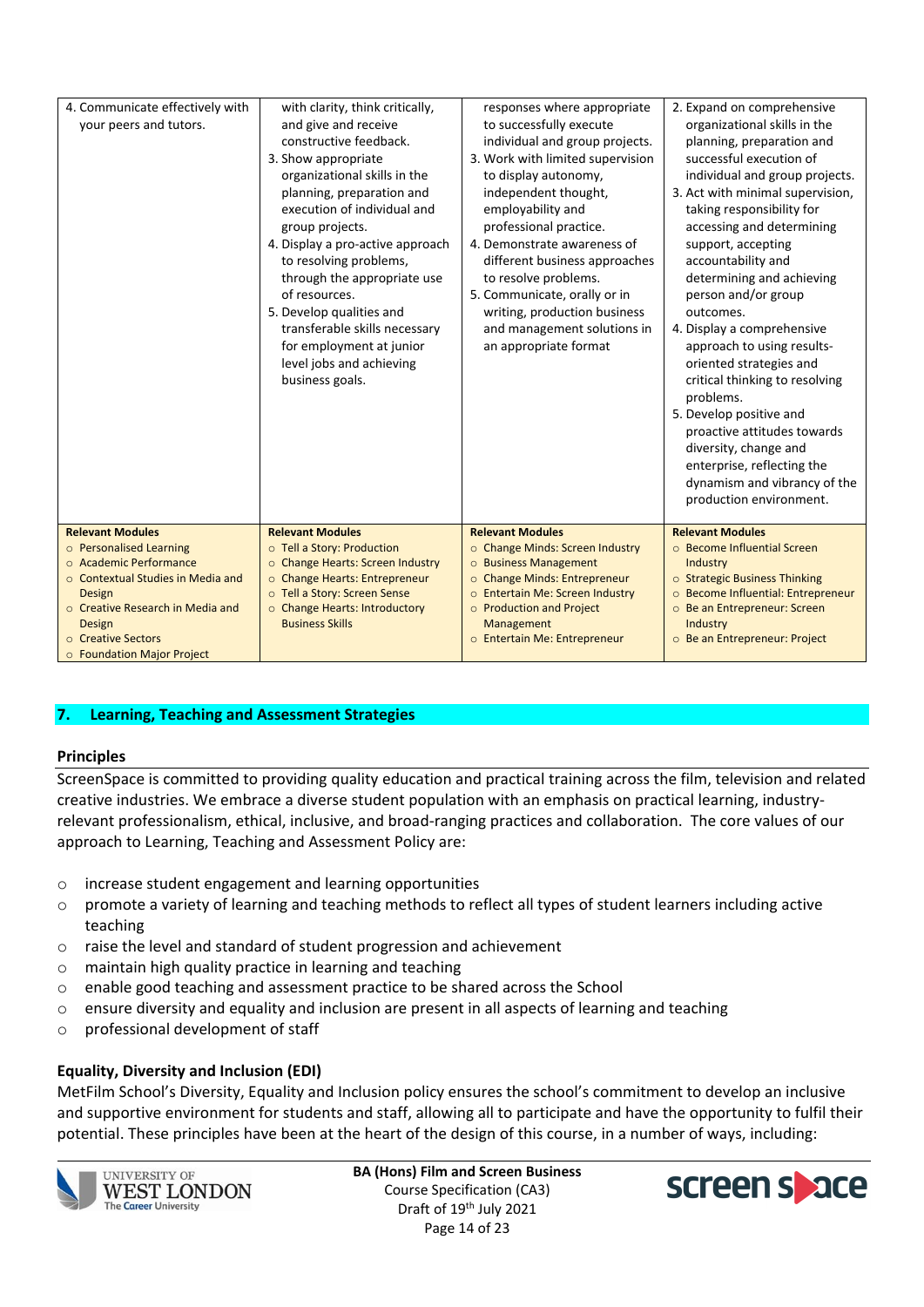| 4. Communicate effectively with<br>your peers and tutors. | with clarity, think critically,<br>and give and receive<br>constructive feedback.<br>3. Show appropriate<br>organizational skills in the<br>planning, preparation and<br>execution of individual and<br>group projects.<br>4. Display a pro-active approach<br>to resolving problems,<br>through the appropriate use<br>of resources.<br>5. Develop qualities and<br>transferable skills necessary<br>for employment at junior<br>level jobs and achieving<br>business goals. | responses where appropriate<br>to successfully execute<br>individual and group projects.<br>3. Work with limited supervision<br>to display autonomy,<br>independent thought,<br>employability and<br>professional practice.<br>4. Demonstrate awareness of<br>different business approaches<br>to resolve problems.<br>5. Communicate, orally or in<br>writing, production business<br>and management solutions in<br>an appropriate format | 2. Expand on comprehensive<br>organizational skills in the<br>planning, preparation and<br>successful execution of<br>individual and group projects.<br>3. Act with minimal supervision,<br>taking responsibility for<br>accessing and determining<br>support, accepting<br>accountability and<br>determining and achieving<br>person and/or group<br>outcomes.<br>4. Display a comprehensive<br>approach to using results-<br>oriented strategies and<br>critical thinking to resolving<br>problems.<br>5. Develop positive and<br>proactive attitudes towards<br>diversity, change and<br>enterprise, reflecting the<br>dynamism and vibrancy of the<br>production environment. |
|-----------------------------------------------------------|-------------------------------------------------------------------------------------------------------------------------------------------------------------------------------------------------------------------------------------------------------------------------------------------------------------------------------------------------------------------------------------------------------------------------------------------------------------------------------|---------------------------------------------------------------------------------------------------------------------------------------------------------------------------------------------------------------------------------------------------------------------------------------------------------------------------------------------------------------------------------------------------------------------------------------------|-----------------------------------------------------------------------------------------------------------------------------------------------------------------------------------------------------------------------------------------------------------------------------------------------------------------------------------------------------------------------------------------------------------------------------------------------------------------------------------------------------------------------------------------------------------------------------------------------------------------------------------------------------------------------------------|
| <b>Relevant Modules</b>                                   | <b>Relevant Modules</b>                                                                                                                                                                                                                                                                                                                                                                                                                                                       | <b>Relevant Modules</b>                                                                                                                                                                                                                                                                                                                                                                                                                     | <b>Relevant Modules</b>                                                                                                                                                                                                                                                                                                                                                                                                                                                                                                                                                                                                                                                           |
| o Personalised Learning                                   | o Tell a Story: Production                                                                                                                                                                                                                                                                                                                                                                                                                                                    | ○ Change Minds: Screen Industry                                                                                                                                                                                                                                                                                                                                                                                                             | ○ Become Influential Screen                                                                                                                                                                                                                                                                                                                                                                                                                                                                                                                                                                                                                                                       |
| ○ Academic Performance                                    | o Change Hearts: Screen Industry                                                                                                                                                                                                                                                                                                                                                                                                                                              | o Business Management                                                                                                                                                                                                                                                                                                                                                                                                                       | Industry                                                                                                                                                                                                                                                                                                                                                                                                                                                                                                                                                                                                                                                                          |
| ○ Contextual Studies in Media and                         | o Change Hearts: Entrepreneur                                                                                                                                                                                                                                                                                                                                                                                                                                                 | o Change Minds: Entrepreneur                                                                                                                                                                                                                                                                                                                                                                                                                | o Strategic Business Thinking                                                                                                                                                                                                                                                                                                                                                                                                                                                                                                                                                                                                                                                     |
| Design                                                    | o Tell a Story: Screen Sense                                                                                                                                                                                                                                                                                                                                                                                                                                                  | o Entertain Me: Screen Industry                                                                                                                                                                                                                                                                                                                                                                                                             | o Become Influential: Entrepreneur                                                                                                                                                                                                                                                                                                                                                                                                                                                                                                                                                                                                                                                |
| o Creative Research in Media and                          | o Change Hearts: Introductory                                                                                                                                                                                                                                                                                                                                                                                                                                                 | o Production and Project                                                                                                                                                                                                                                                                                                                                                                                                                    | o Be an Entrepreneur: Screen                                                                                                                                                                                                                                                                                                                                                                                                                                                                                                                                                                                                                                                      |
| Design                                                    | <b>Business Skills</b>                                                                                                                                                                                                                                                                                                                                                                                                                                                        | Management                                                                                                                                                                                                                                                                                                                                                                                                                                  | Industry                                                                                                                                                                                                                                                                                                                                                                                                                                                                                                                                                                                                                                                                          |
| ○ Creative Sectors                                        |                                                                                                                                                                                                                                                                                                                                                                                                                                                                               | o Entertain Me: Entrepreneur                                                                                                                                                                                                                                                                                                                                                                                                                | o Be an Entrepreneur: Project                                                                                                                                                                                                                                                                                                                                                                                                                                                                                                                                                                                                                                                     |
| <b>O</b> Foundation Major Project                         |                                                                                                                                                                                                                                                                                                                                                                                                                                                                               |                                                                                                                                                                                                                                                                                                                                                                                                                                             |                                                                                                                                                                                                                                                                                                                                                                                                                                                                                                                                                                                                                                                                                   |

### **7. Learning, Teaching and Assessment Strategies**

#### **Principles**

ScreenSpace is committed to providing quality education and practical training across the film, television and related creative industries. We embrace a diverse student population with an emphasis on practical learning, industryrelevant professionalism, ethical, inclusive, and broad-ranging practices and collaboration. The core values of our approach to Learning, Teaching and Assessment Policy are:

- o increase student engagement and learning opportunities
- o promote a variety of learning and teaching methods to reflect all types of student learners including active teaching
- o raise the level and standard of student progression and achievement
- o maintain high quality practice in learning and teaching
- o enable good teaching and assessment practice to be shared across the School
- o ensure diversity and equality and inclusion are present in all aspects of learning and teaching
- o professional development of staff

### **Equality, Diversity and Inclusion (EDI)**

MetFilm School's Diversity, Equality and Inclusion policy ensures the school's commitment to develop an inclusive and supportive environment for students and staff, allowing all to participate and have the opportunity to fulfil their potential. These principles have been at the heart of the design of this course, in a number of ways, including:



**UNIVERSITY OF WEST LONDON The Career University** 

**BA (Hons) Film and Screen Business** Course Specification (CA3) Draft of 19<sup>th</sup> July 2021 Page 14 of 23

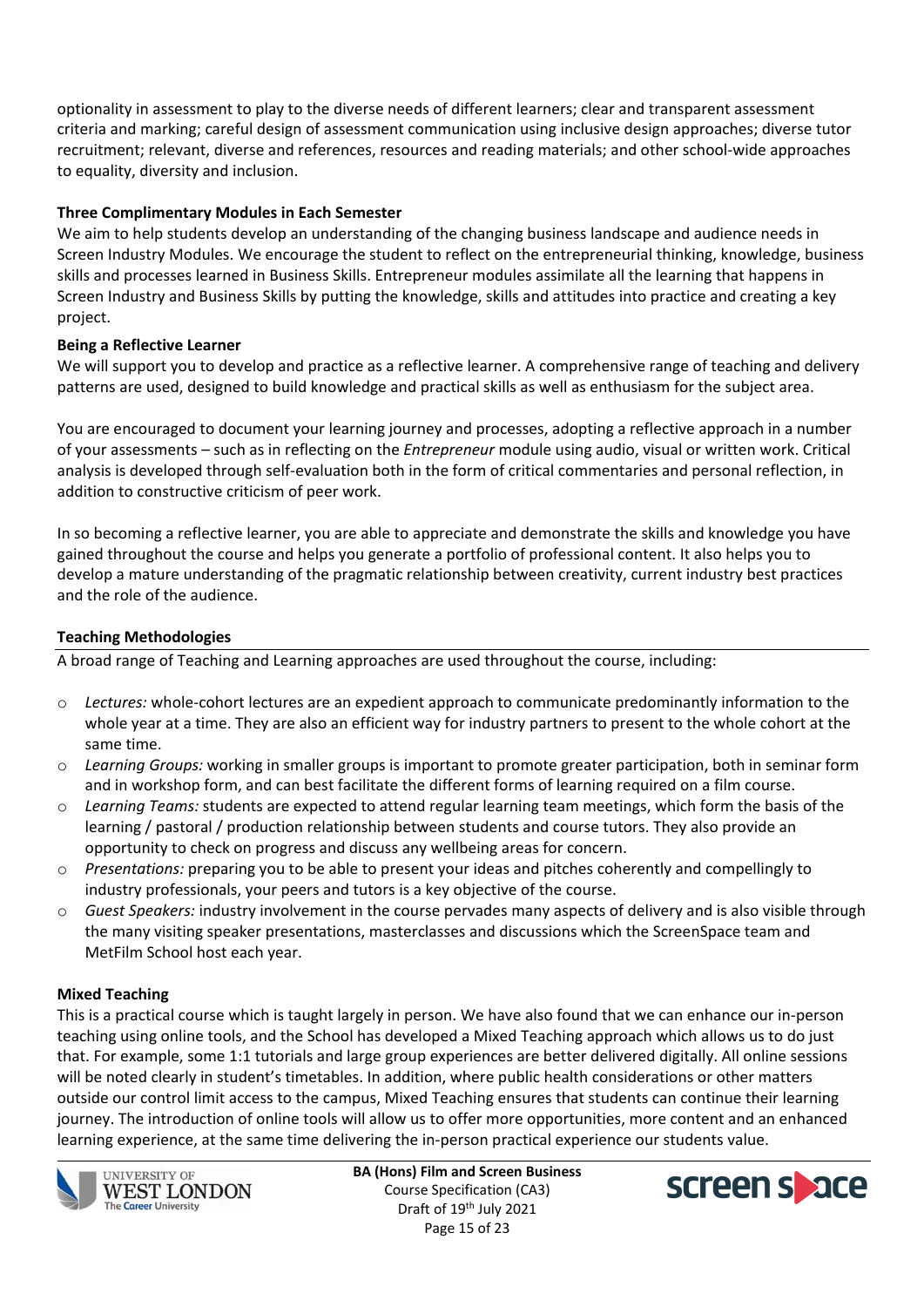optionality in assessment to play to the diverse needs of different learners; clear and transparent assessment criteria and marking; careful design of assessment communication using inclusive design approaches; diverse tutor recruitment; relevant, diverse and references, resources and reading materials; and other school-wide approaches to equality, diversity and inclusion.

### **Three Complimentary Modules in Each Semester**

We aim to help students develop an understanding of the changing business landscape and audience needs in Screen Industry Modules. We encourage the student to reflect on the entrepreneurial thinking, knowledge, business skills and processes learned in Business Skills. Entrepreneur modules assimilate all the learning that happens in Screen Industry and Business Skills by putting the knowledge, skills and attitudes into practice and creating a key project.

### **Being a Reflective Learner**

We will support you to develop and practice as a reflective learner. A comprehensive range of teaching and delivery patterns are used, designed to build knowledge and practical skills as well as enthusiasm for the subject area.

You are encouraged to document your learning journey and processes, adopting a reflective approach in a number of your assessments – such as in reflecting on the *Entrepreneur* module using audio, visual or written work. Critical analysis is developed through self-evaluation both in the form of critical commentaries and personal reflection, in addition to constructive criticism of peer work.

In so becoming a reflective learner, you are able to appreciate and demonstrate the skills and knowledge you have gained throughout the course and helps you generate a portfolio of professional content. It also helps you to develop a mature understanding of the pragmatic relationship between creativity, current industry best practices and the role of the audience.

### **Teaching Methodologies**

A broad range of Teaching and Learning approaches are used throughout the course, including:

- o *Lectures:* whole-cohort lectures are an expedient approach to communicate predominantly information to the whole year at a time. They are also an efficient way for industry partners to present to the whole cohort at the same time.
- o *Learning Groups:* working in smaller groups is important to promote greater participation, both in seminar form and in workshop form, and can best facilitate the different forms of learning required on a film course.
- o *Learning Teams:* students are expected to attend regular learning team meetings, which form the basis of the learning / pastoral / production relationship between students and course tutors. They also provide an opportunity to check on progress and discuss any wellbeing areas for concern.
- o *Presentations:* preparing you to be able to present your ideas and pitches coherently and compellingly to industry professionals, your peers and tutors is a key objective of the course.
- o *Guest Speakers:* industry involvement in the course pervades many aspects of delivery and is also visible through the many visiting speaker presentations, masterclasses and discussions which the ScreenSpace team and MetFilm School host each year.

### **Mixed Teaching**

This is a practical course which is taught largely in person. We have also found that we can enhance our in-person teaching using online tools, and the School has developed a Mixed Teaching approach which allows us to do just that. For example, some 1:1 tutorials and large group experiences are better delivered digitally. All online sessions will be noted clearly in student's timetables. In addition, where public health considerations or other matters outside our control limit access to the campus, Mixed Teaching ensures that students can continue their learning journey. The introduction of online tools will allow us to offer more opportunities, more content and an enhanced learning experience, at the same time delivering the in-person practical experience our students value.



**UNIVERSITY OF WEST LONDON The Career University** 

**BA (Hons) Film and Screen Business** Course Specification (CA3) Draft of 19<sup>th</sup> July 2021 Page 15 of 23

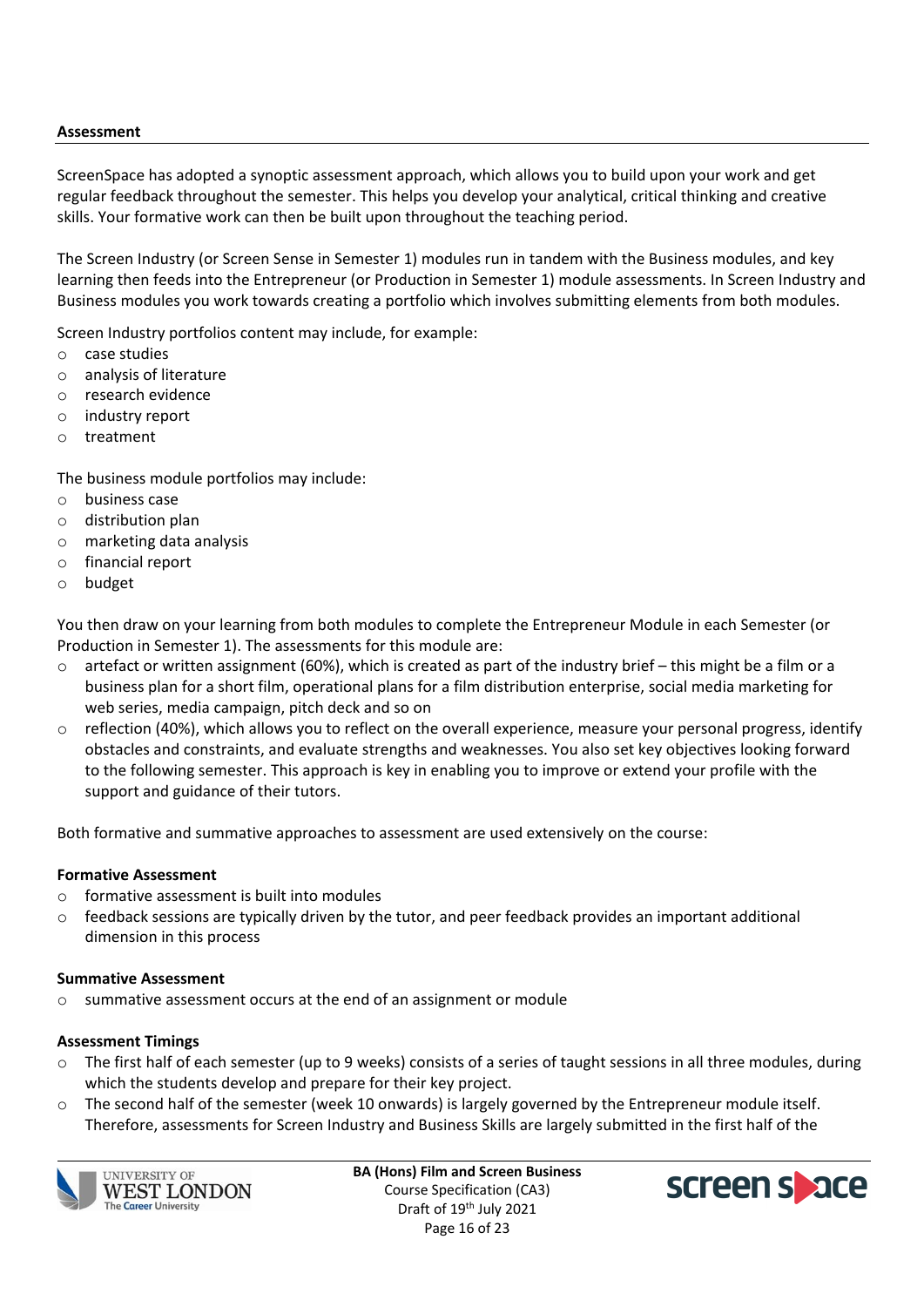### **Assessment**

ScreenSpace has adopted a synoptic assessment approach, which allows you to build upon your work and get regular feedback throughout the semester. This helps you develop your analytical, critical thinking and creative skills. Your formative work can then be built upon throughout the teaching period.

The Screen Industry (or Screen Sense in Semester 1) modules run in tandem with the Business modules, and key learning then feeds into the Entrepreneur (or Production in Semester 1) module assessments. In Screen Industry and Business modules you work towards creating a portfolio which involves submitting elements from both modules.

Screen Industry portfolios content may include, for example:

- o case studies
- o analysis of literature
- o research evidence
- o industry report
- o treatment

The business module portfolios may include:

- o business case
- o distribution plan
- o marketing data analysis
- o financial report
- o budget

You then draw on your learning from both modules to complete the Entrepreneur Module in each Semester (or Production in Semester 1). The assessments for this module are:

- $\circ$  artefact or written assignment (60%), which is created as part of the industry brief this might be a film or a business plan for a short film, operational plans for a film distribution enterprise, social media marketing for web series, media campaign, pitch deck and so on
- $\circ$  reflection (40%), which allows you to reflect on the overall experience, measure your personal progress, identify obstacles and constraints, and evaluate strengths and weaknesses. You also set key objectives looking forward to the following semester. This approach is key in enabling you to improve or extend your profile with the support and guidance of their tutors.

Both formative and summative approaches to assessment are used extensively on the course:

#### **Formative Assessment**

- o formative assessment is built into modules
- $\circ$  feedback sessions are typically driven by the tutor, and peer feedback provides an important additional dimension in this process

#### **Summative Assessment**

o summative assessment occurs at the end of an assignment or module

#### **Assessment Timings**

- $\circ$  The first half of each semester (up to 9 weeks) consists of a series of taught sessions in all three modules, during which the students develop and prepare for their key project.
- $\circ$  The second half of the semester (week 10 onwards) is largely governed by the Entrepreneur module itself. Therefore, assessments for Screen Industry and Business Skills are largely submitted in the first half of the



**BA (Hons) Film and Screen Business** Course Specification (CA3) Draft of 19<sup>th</sup> July 2021 Page 16 of 23

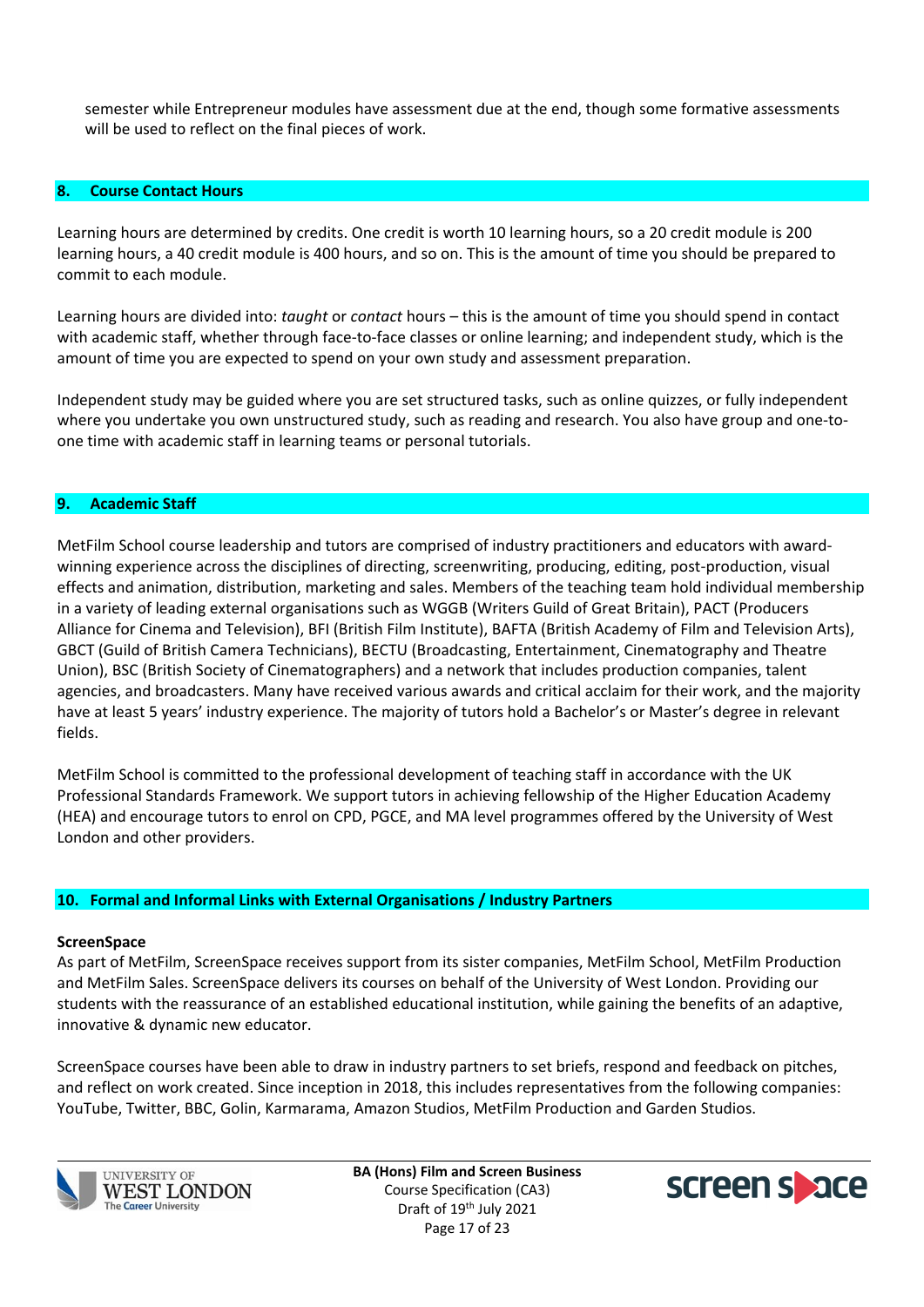semester while Entrepreneur modules have assessment due at the end, though some formative assessments will be used to reflect on the final pieces of work.

#### **8. Course Contact Hours**

Learning hours are determined by credits. One credit is worth 10 learning hours, so a 20 credit module is 200 learning hours, a 40 credit module is 400 hours, and so on. This is the amount of time you should be prepared to commit to each module.

Learning hours are divided into: *taught* or *contact* hours – this is the amount of time you should spend in contact with academic staff, whether through face-to-face classes or online learning; and independent study, which is the amount of time you are expected to spend on your own study and assessment preparation.

Independent study may be guided where you are set structured tasks, such as online quizzes, or fully independent where you undertake you own unstructured study, such as reading and research. You also have group and one-toone time with academic staff in learning teams or personal tutorials.

#### **9. Academic Staff**

MetFilm School course leadership and tutors are comprised of industry practitioners and educators with awardwinning experience across the disciplines of directing, screenwriting, producing, editing, post-production, visual effects and animation, distribution, marketing and sales. Members of the teaching team hold individual membership in a variety of leading external organisations such as WGGB (Writers Guild of Great Britain), PACT (Producers Alliance for Cinema and Television), BFI (British Film Institute), BAFTA (British Academy of Film and Television Arts), GBCT (Guild of British Camera Technicians), BECTU (Broadcasting, Entertainment, Cinematography and Theatre Union), BSC (British Society of Cinematographers) and a network that includes production companies, talent agencies, and broadcasters. Many have received various awards and critical acclaim for their work, and the majority have at least 5 years' industry experience. The majority of tutors hold a Bachelor's or Master's degree in relevant fields.

MetFilm School is committed to the professional development of teaching staff in accordance with the UK Professional Standards Framework. We support tutors in achieving fellowship of the Higher Education Academy (HEA) and encourage tutors to enrol on CPD, PGCE, and MA level programmes offered by the University of West London and other providers.

#### **10. Formal and Informal Links with External Organisations / Industry Partners**

#### **ScreenSpace**

As part of MetFilm, ScreenSpace receives support from its sister companies, MetFilm School, MetFilm Production and MetFilm Sales. ScreenSpace delivers its courses on behalf of the University of West London. Providing our students with the reassurance of an established educational institution, while gaining the benefits of an adaptive, innovative & dynamic new educator.

ScreenSpace courses have been able to draw in industry partners to set briefs, respond and feedback on pitches, and reflect on work created. Since inception in 2018, this includes representatives from the following companies: YouTube, Twitter, BBC, Golin, Karmarama, Amazon Studios, MetFilm Production and Garden Studios.



**BA (Hons) Film and Screen Business** Course Specification (CA3) Draft of 19<sup>th</sup> July 2021 Page 17 of 23

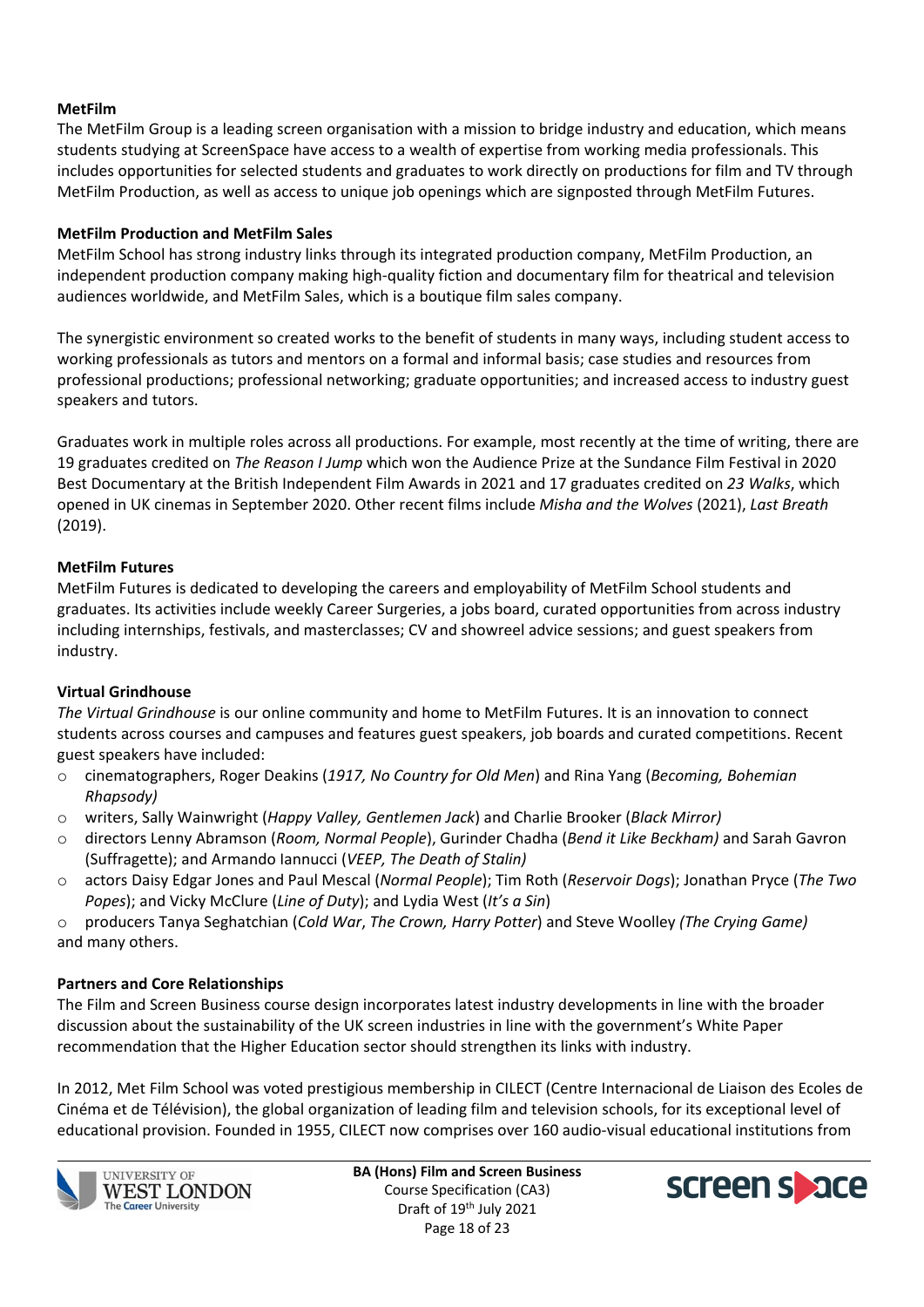### **MetFilm**

The MetFilm Group is a leading screen organisation with a mission to bridge industry and education, which means students studying at ScreenSpace have access to a wealth of expertise from working media professionals. This includes opportunities for selected students and graduates to work directly on productions for film and TV through MetFilm Production, as well as access to unique job openings which are signposted through MetFilm Futures.

### **MetFilm Production and MetFilm Sales**

MetFilm School has strong industry links through its integrated production company, MetFilm Production, an independent production company making high-quality fiction and documentary film for theatrical and television audiences worldwide, and MetFilm Sales, which is a boutique film sales company.

The synergistic environment so created works to the benefit of students in many ways, including student access to working professionals as tutors and mentors on a formal and informal basis; case studies and resources from professional productions; professional networking; graduate opportunities; and increased access to industry guest speakers and tutors.

Graduates work in multiple roles across all productions. For example, most recently at the time of writing, there are 19 graduates credited on *The Reason I Jump* which won the Audience Prize at the Sundance Film Festival in 2020 Best Documentary at the British Independent Film Awards in 2021 and 17 graduates credited on *23 Walks*, which opened in UK cinemas in September 2020. Other recent films include *Misha and the Wolves* (2021), *Last Breath* (2019).

### **MetFilm Futures**

MetFilm Futures is dedicated to developing the careers and employability of MetFilm School students and graduates. Its activities include weekly Career Surgeries, a jobs board, curated opportunities from across industry including internships, festivals, and masterclasses; CV and showreel advice sessions; and guest speakers from industry.

### **Virtual Grindhouse**

*The Virtual Grindhouse* is our online community and home to MetFilm Futures. It is an innovation to connect students across courses and campuses and features guest speakers, job boards and curated competitions. Recent guest speakers have included:

- o cinematographers, Roger Deakins (*1917, No Country for Old Men*) and Rina Yang (*Becoming, Bohemian Rhapsody)*
- o writers, Sally Wainwright (*Happy Valley, Gentlemen Jack*) and Charlie Brooker (*Black Mirror)*
- o directors Lenny Abramson (*Room, Normal People*), Gurinder Chadha (*Bend it Like Beckham)* and Sarah Gavron (Suffragette); and Armando Iannucci (*VEEP, The Death of Stalin)*
- o actors Daisy Edgar Jones and Paul Mescal (*Normal People*); Tim Roth (*Reservoir Dogs*); Jonathan Pryce (*The Two Popes*); and Vicky McClure (*Line of Duty*); and Lydia West (*It's a Sin*)

o producers Tanya Seghatchian (*Cold War*, *The Crown, Harry Potter*) and Steve Woolley *(The Crying Game)* and many others.

### **Partners and Core Relationships**

The Film and Screen Business course design incorporates latest industry developments in line with the broader discussion about the sustainability of the UK screen industries in line with the government's White Paper recommendation that the Higher Education sector should strengthen its links with industry.

In 2012, Met Film School was voted prestigious membership in CILECT (Centre Internacional de Liaison des Ecoles de Cinéma et de Télévision), the global organization of leading film and television schools, for its exceptional level of educational provision. Founded in 1955, CILECT now comprises over 160 audio-visual educational institutions from



**BA (Hons) Film and Screen Business** Course Specification (CA3) Draft of 19<sup>th</sup> July 2021 Page 18 of 23

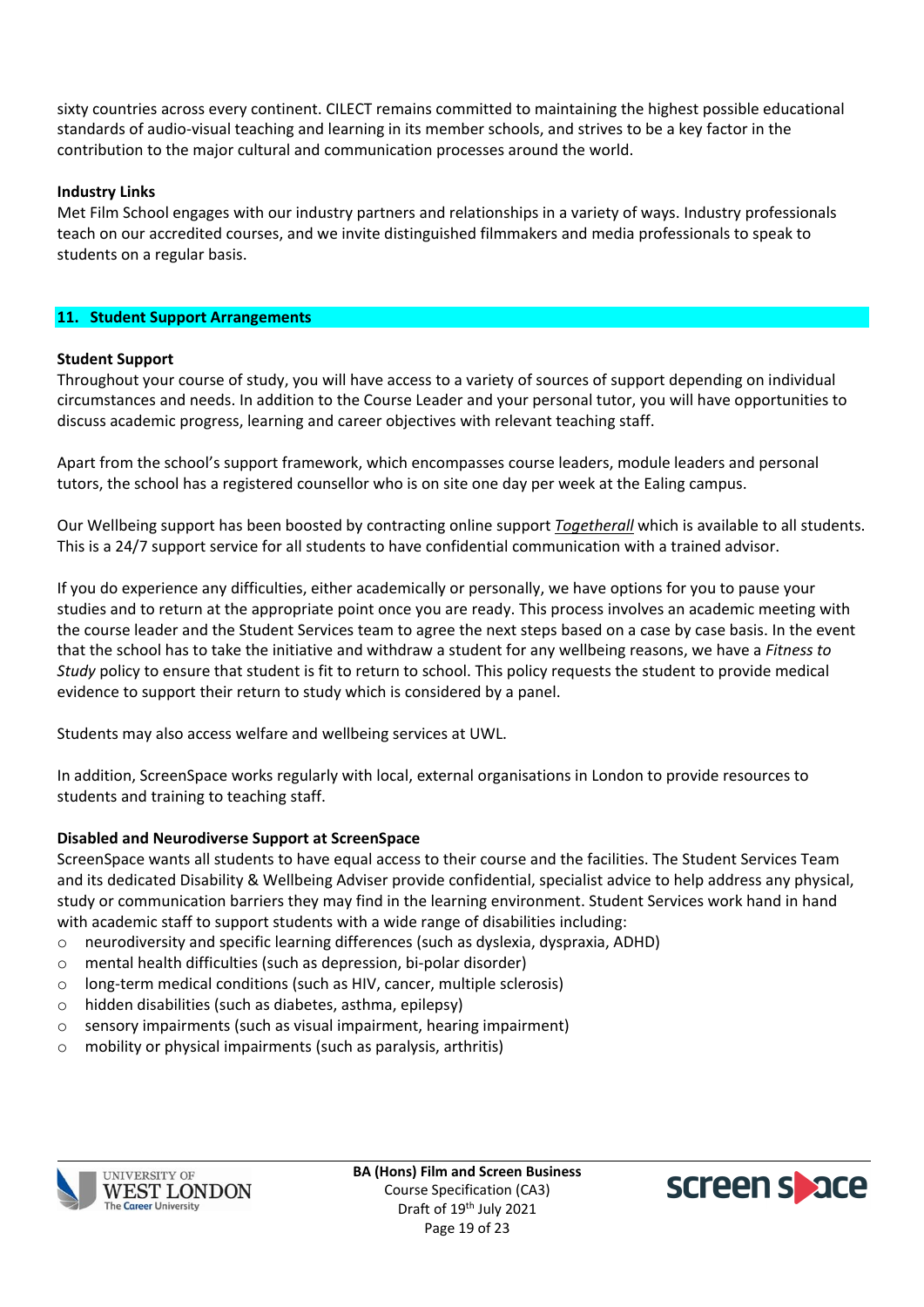sixty countries across every continent. CILECT remains committed to maintaining the highest possible educational standards of audio-visual teaching and learning in its member schools, and strives to be a key factor in the contribution to the major cultural and communication processes around the world.

### **Industry Links**

Met Film School engages with our industry partners and relationships in a variety of ways. Industry professionals teach on our accredited courses, and we invite distinguished filmmakers and media professionals to speak to students on a regular basis.

### **11. Student Support Arrangements**

### **Student Support**

Throughout your course of study, you will have access to a variety of sources of support depending on individual circumstances and needs. In addition to the Course Leader and your personal tutor, you will have opportunities to discuss academic progress, learning and career objectives with relevant teaching staff.

Apart from the school's support framework, which encompasses course leaders, module leaders and personal tutors, the school has a registered counsellor who is on site one day per week at the Ealing campus.

Our Wellbeing support has been boosted by contracting online support *[Togetherall](http://www.togetherall.com/)* which is available to all students. This is a 24/7 support service for all students to have confidential communication with a trained advisor.

If you do experience any difficulties, either academically or personally, we have options for you to pause your studies and to return at the appropriate point once you are ready. This process involves an academic meeting with the course leader and the Student Services team to agree the next steps based on a case by case basis. In the event that the school has to take the initiative and withdraw a student for any wellbeing reasons, we have a *Fitness to Study* policy to ensure that student is fit to return to school. This policy requests the student to provide medical evidence to support their return to study which is considered by a panel.

Students may also access welfare and wellbeing services at UWL.

In addition, ScreenSpace works regularly with local, external organisations in London to provide resources to students and training to teaching staff.

### **Disabled and Neurodiverse Support at ScreenSpace**

ScreenSpace wants all students to have equal access to their course and the facilities. The Student Services Team and its dedicated Disability & Wellbeing Adviser provide confidential, specialist advice to help address any physical, study or communication barriers they may find in the learning environment. Student Services work hand in hand with academic staff to support students with a wide range of disabilities including:

- o neurodiversity and specific learning differences (such as dyslexia, dyspraxia, ADHD)
- o mental health difficulties (such as depression, bi-polar disorder)
- o long-term medical conditions (such as HIV, cancer, multiple sclerosis)
- o hidden disabilities (such as diabetes, asthma, epilepsy)
- o sensory impairments (such as visual impairment, hearing impairment)
- o mobility or physical impairments (such as paralysis, arthritis)



**BA (Hons) Film and Screen Business** Course Specification (CA3) Draft of 19<sup>th</sup> July 2021 Page 19 of 23

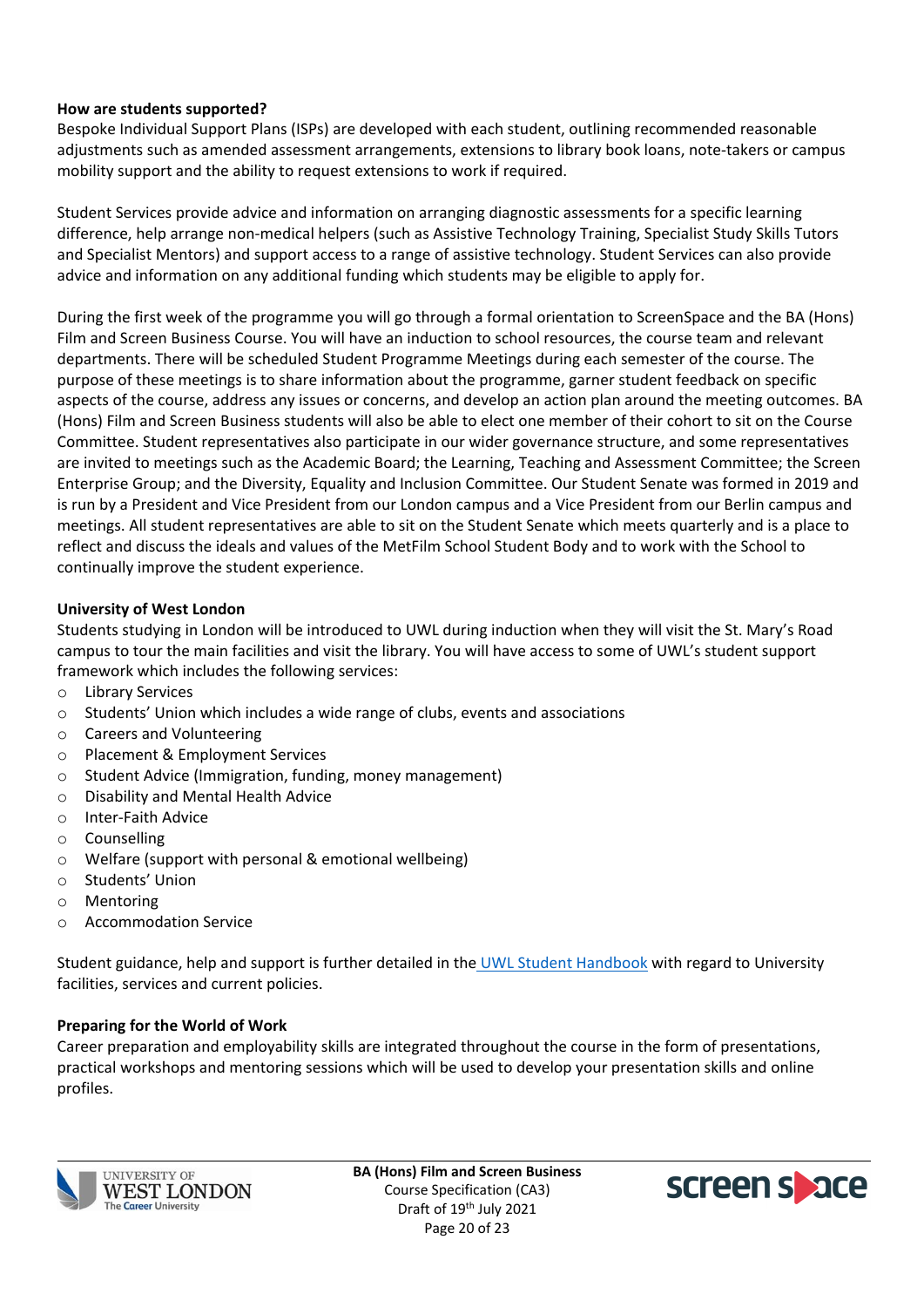### **How are students supported?**

Bespoke Individual Support Plans (ISPs) are developed with each student, outlining recommended reasonable adjustments such as amended assessment arrangements, extensions to library book loans, note-takers or campus mobility support and the ability to request extensions to work if required.

Student Services provide advice and information on arranging diagnostic assessments for a specific learning difference, help arrange non-medical helpers (such as Assistive Technology Training, Specialist Study Skills Tutors and Specialist Mentors) and support access to a range of assistive technology. Student Services can also provide advice and information on any additional funding which students may be eligible to apply for.

During the first week of the programme you will go through a formal orientation to ScreenSpace and the BA (Hons) Film and Screen Business Course. You will have an induction to school resources, the course team and relevant departments. There will be scheduled Student Programme Meetings during each semester of the course. The purpose of these meetings is to share information about the programme, garner student feedback on specific aspects of the course, address any issues or concerns, and develop an action plan around the meeting outcomes. BA (Hons) Film and Screen Business students will also be able to elect one member of their cohort to sit on the Course Committee. Student representatives also participate in our wider governance structure, and some representatives are invited to meetings such as the Academic Board; the Learning, Teaching and Assessment Committee; the Screen Enterprise Group; and the Diversity, Equality and Inclusion Committee. Our Student Senate was formed in 2019 and is run by a President and Vice President from our London campus and a Vice President from our Berlin campus and meetings. All student representatives are able to sit on the Student Senate which meets quarterly and is a place to reflect and discuss the ideals and values of the MetFilm School Student Body and to work with the School to continually improve the student experience.

### **University of West London**

Students studying in London will be introduced to UWL during induction when they will visit the St. Mary's Road campus to tour the main facilities and visit the library. You will have access to some of UWL's student support framework which includes the following services:

- o Library Services
- $\circ$  Students' Union which includes a wide range of clubs, events and associations
- o Careers and Volunteering
- o Placement & Employment Services
- o Student Advice (Immigration, funding, money management)
- o Disability and Mental Health Advice
- o Inter-Faith Advice
- o Counselling
- o Welfare (support with personal & emotional wellbeing)
- o Students' Union
- o Mentoring
- o Accommodation Service

Student guidance, help and support is further detailed in the [UWL Student Handbook](http://www.uwl.ac.uk/students/current-students/student-handbook) with regard to University facilities, services and current policies.

### **Preparing for the World of Work**

Career preparation and employability skills are integrated throughout the course in the form of presentations, practical workshops and mentoring sessions which will be used to develop your presentation skills and online profiles.



**BA (Hons) Film and Screen Business** Course Specification (CA3) Draft of 19<sup>th</sup> July 2021 Page 20 of 23

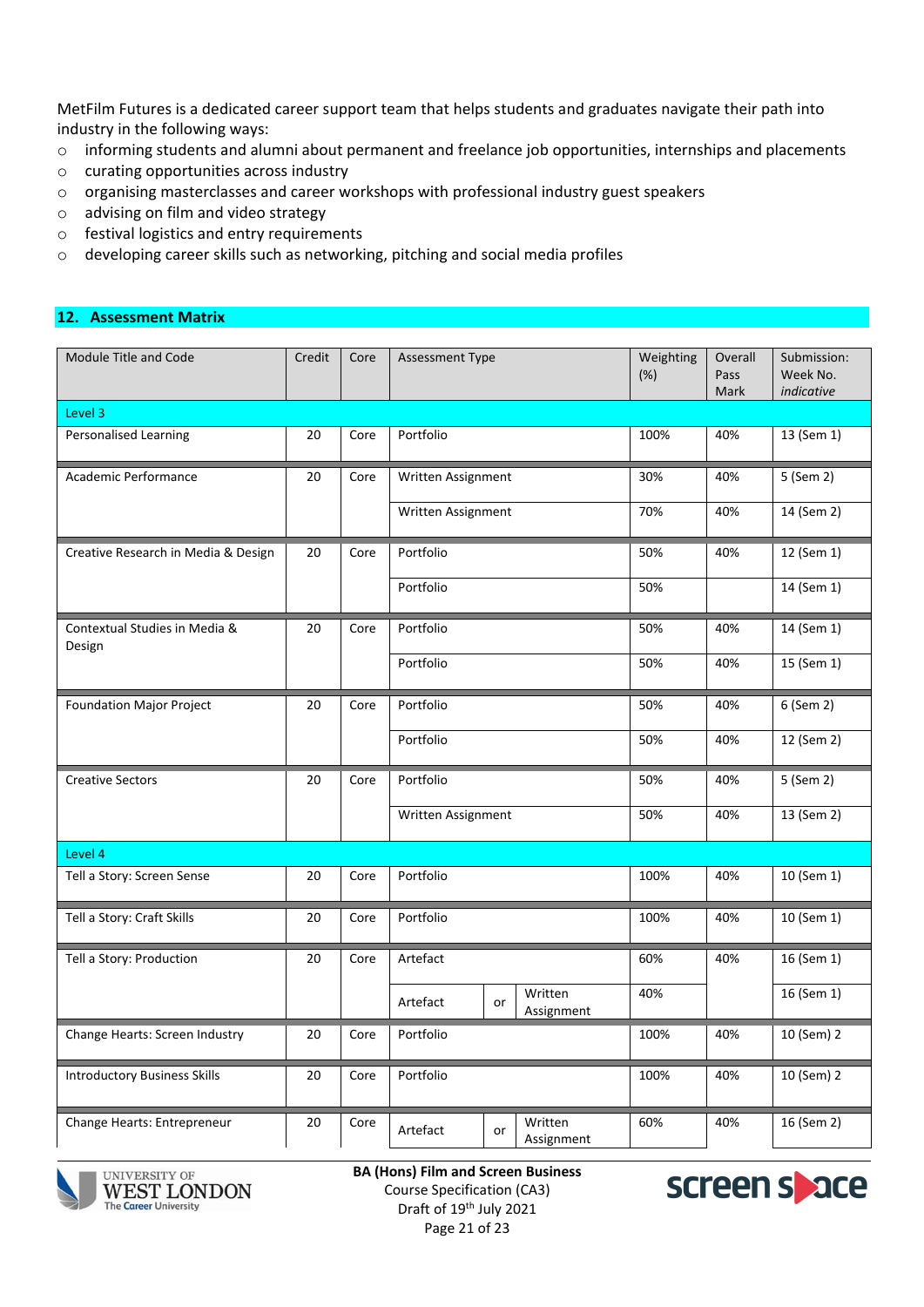MetFilm Futures is a dedicated career support team that helps students and graduates navigate their path into industry in the following ways:

- o informing students and alumni about permanent and freelance job opportunities, internships and placements
- o curating opportunities across industry
- o organising masterclasses and career workshops with professional industry guest speakers
- o advising on film and video strategy
- o festival logistics and entry requirements
- o developing career skills such as networking, pitching and social media profiles

#### **12. Assessment Matrix**

| Module Title and Code                   | Credit | Core | <b>Assessment Type</b> |                             | Weighting<br>(%) | Overall<br>Pass<br>Mark | Submission:<br>Week No.<br>indicative |
|-----------------------------------------|--------|------|------------------------|-----------------------------|------------------|-------------------------|---------------------------------------|
| Level 3                                 |        |      |                        |                             |                  |                         |                                       |
| Personalised Learning                   | 20     | Core | Portfolio              |                             | 100%             | 40%                     | 13 (Sem 1)                            |
| Academic Performance                    | 20     | Core | Written Assignment     |                             | 30%              | 40%                     | 5 (Sem 2)                             |
|                                         |        |      | Written Assignment     |                             | 70%              | 40%                     | 14 (Sem 2)                            |
| Creative Research in Media & Design     | 20     | Core | Portfolio              |                             | 50%              | 40%                     | 12 (Sem 1)                            |
|                                         |        |      | Portfolio              |                             | 50%              |                         | 14 (Sem 1)                            |
| Contextual Studies in Media &<br>Design | 20     | Core | Portfolio              |                             | 50%              | 40%                     | 14 (Sem 1)                            |
|                                         |        |      | Portfolio              |                             | 50%              | 40%                     | 15 (Sem 1)                            |
| <b>Foundation Major Project</b>         | 20     | Core | Portfolio<br>Portfolio |                             | 50%              | 40%                     | 6 (Sem 2)                             |
|                                         |        |      |                        |                             | 50%              | 40%                     | 12 (Sem 2)                            |
| <b>Creative Sectors</b>                 | 20     | Core | Portfolio              |                             | 50%              | 40%                     | 5 (Sem 2)                             |
|                                         |        |      | Written Assignment     |                             | 50%              | 40%                     | 13 (Sem 2)                            |
| Level 4                                 |        |      |                        |                             |                  |                         |                                       |
| Tell a Story: Screen Sense              | 20     | Core | Portfolio              |                             | 100%             | 40%                     | 10 (Sem 1)                            |
| Tell a Story: Craft Skills              | 20     | Core | Portfolio              |                             | 100%             | 40%                     | 10 (Sem 1)                            |
| Tell a Story: Production                | 20     | Core | Artefact               |                             | 60%              | 40%                     | 16 (Sem 1)                            |
|                                         |        |      | Artefact               | Written<br>or<br>Assignment | 40%              |                         | 16 (Sem 1)                            |
| Change Hearts: Screen Industry          | 20     | Core | Portfolio              |                             | 100%             | 40%                     | 10 (Sem) 2                            |
| <b>Introductory Business Skills</b>     | 20     | Core | Portfolio              |                             | 100%             | 40%                     | 10 (Sem) 2                            |
| Change Hearts: Entrepreneur             | 20     | Core | Artefact               | Written<br>or<br>Assignment | 60%              | 40%                     | 16 (Sem 2)                            |



UNIVERSITY OF WEST LONDON **The Career University** 

**BA (Hons) Film and Screen Business** Course Specification (CA3) Draft of 19<sup>th</sup> July 2021 Page 21 of 23

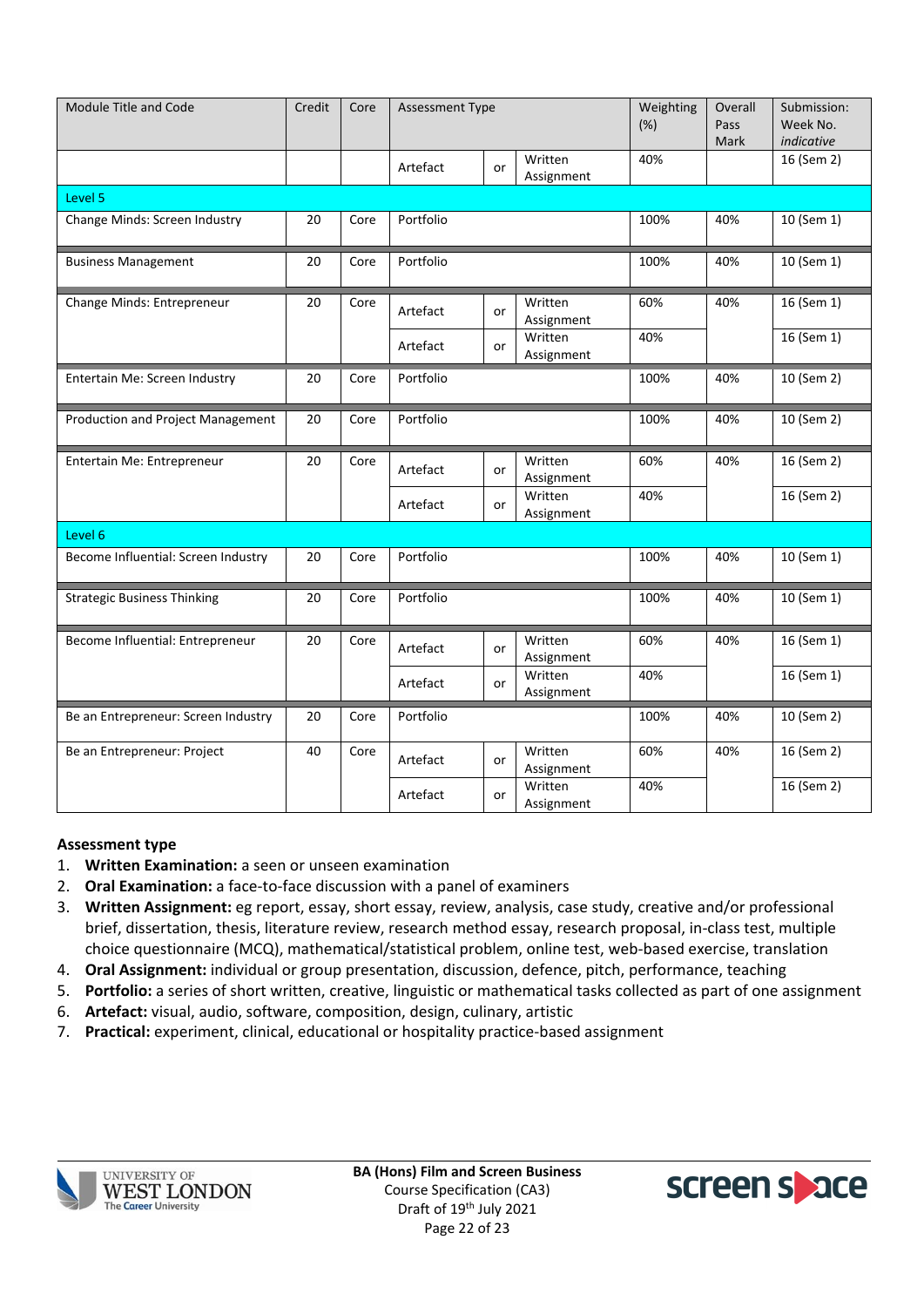| Module Title and Code               | Credit | Core | <b>Assessment Type</b> |    | Weighting<br>(%)      | Overall<br>Pass<br>Mark | Submission:<br>Week No.<br>indicative |              |
|-------------------------------------|--------|------|------------------------|----|-----------------------|-------------------------|---------------------------------------|--------------|
|                                     |        |      | Artefact               | or | Written<br>Assignment | 40%                     |                                       | 16 (Sem 2)   |
| Level 5                             |        |      |                        |    |                       |                         |                                       |              |
| Change Minds: Screen Industry       | 20     | Core | Portfolio              |    |                       | 100%                    | 40%                                   | 10 (Sem 1)   |
| <b>Business Management</b>          | 20     | Core | Portfolio              |    | 100%                  | 40%                     | $\overline{10}$ (Sem 1)               |              |
| Change Minds: Entrepreneur          | 20     | Core | Artefact               | or | Written<br>Assignment | 60%                     | 40%                                   | 16 (Sem 1)   |
|                                     |        |      | Artefact               | or | Written<br>Assignment | 40%                     |                                       | 16 (Sem 1)   |
| Entertain Me: Screen Industry       | 20     | Core | Portfolio              |    |                       | 100%                    | 40%                                   | 10 (Sem 2)   |
| Production and Project Management   | 20     | Core | Portfolio              |    |                       | 100%                    | 40%                                   | 10 (Sem 2)   |
| Entertain Me: Entrepreneur          | 20     | Core | Artefact               | or | Written<br>Assignment | 60%                     | 40%                                   | 16 (Sem 2)   |
|                                     |        |      | Artefact               | or | Written<br>Assignment | 40%                     |                                       | 16 (Sem 2)   |
| Level 6                             |        |      |                        |    |                       |                         |                                       |              |
| Become Influential: Screen Industry | 20     | Core | Portfolio              |    |                       | 100%                    | 40%                                   | 10 (Sem 1)   |
| <b>Strategic Business Thinking</b>  | 20     | Core | Portfolio              |    |                       | 100%                    | 40%                                   | 10 (Sem 1)   |
| Become Influential: Entrepreneur    | 20     | Core | Artefact               | or | Written<br>Assignment | 60%                     | 40%                                   | 16 (Sem 1)   |
|                                     |        |      | Artefact               | or | Written<br>Assignment | 40%                     |                                       | 16 (Sem 1)   |
| Be an Entrepreneur: Screen Industry | 20     | Core | Portfolio              |    |                       | 100%                    | 40%                                   | $10$ (Sem 2) |
| Be an Entrepreneur: Project         | 40     | Core | Artefact               | or | Written<br>Assignment | 60%                     | 40%                                   | 16 (Sem 2)   |
|                                     |        |      | Artefact               | or | Written<br>Assignment | 40%                     |                                       | 16 (Sem 2)   |

### **Assessment type**

- 1. **Written Examination:** a seen or unseen examination
- 2. **Oral Examination:** a face-to-face discussion with a panel of examiners
- 3. **Written Assignment:** eg report, essay, short essay, review, analysis, case study, creative and/or professional brief, dissertation, thesis, literature review, research method essay, research proposal, in-class test, multiple choice questionnaire (MCQ), mathematical/statistical problem, online test, web-based exercise, translation
- 4. **Oral Assignment:** individual or group presentation, discussion, defence, pitch, performance, teaching
- 5. **Portfolio:** a series of short written, creative, linguistic or mathematical tasks collected as part of one assignment
- 6. **Artefact:** visual, audio, software, composition, design, culinary, artistic
- 7. **Practical:** experiment, clinical, educational or hospitality practice-based assignment



**BA (Hons) Film and Screen Business** Course Specification (CA3) Draft of 19<sup>th</sup> July 2021 Page 22 of 23